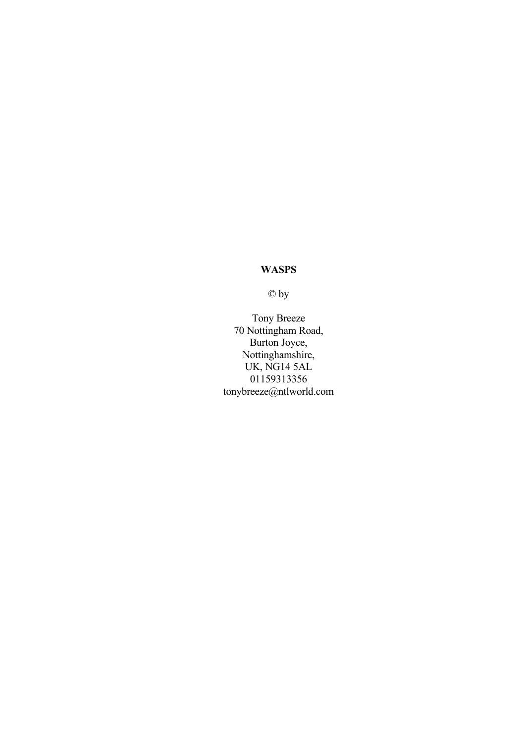© by

Tony Breeze 70 Nottingham Road, Burton Joyce, Nottinghamshire, UK, NG14 5AL 01159313356 tonybreeze@ntlworld.com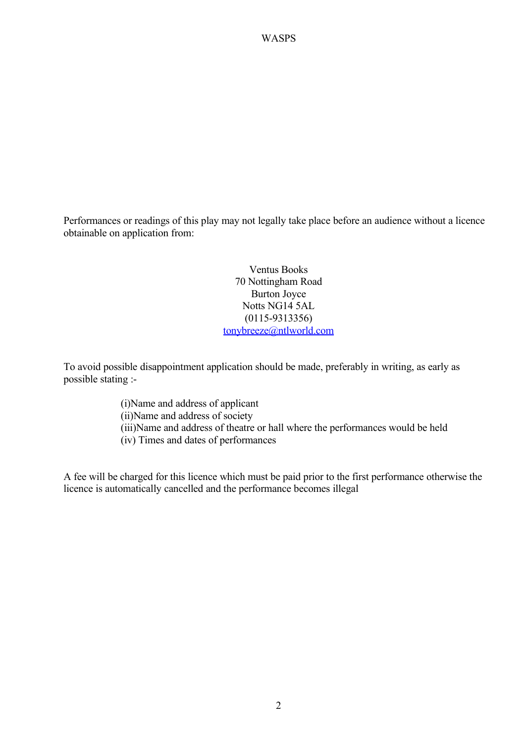Performances or readings of this play may not legally take place before an audience without a licence obtainable on application from:

> Ventus Books 70 Nottingham Road Burton Joyce Notts NG14 5AL (0115-9313356) [tonybreeze@ntlworld.com](mailto:tonybreeze@ntlworld.com)

To avoid possible disappointment application should be made, preferably in writing, as early as possible stating :-

> (i)Name and address of applicant (ii)Name and address of society (iii)Name and address of theatre or hall where the performances would be held (iv) Times and dates of performances

A fee will be charged for this licence which must be paid prior to the first performance otherwise the licence is automatically cancelled and the performance becomes illegal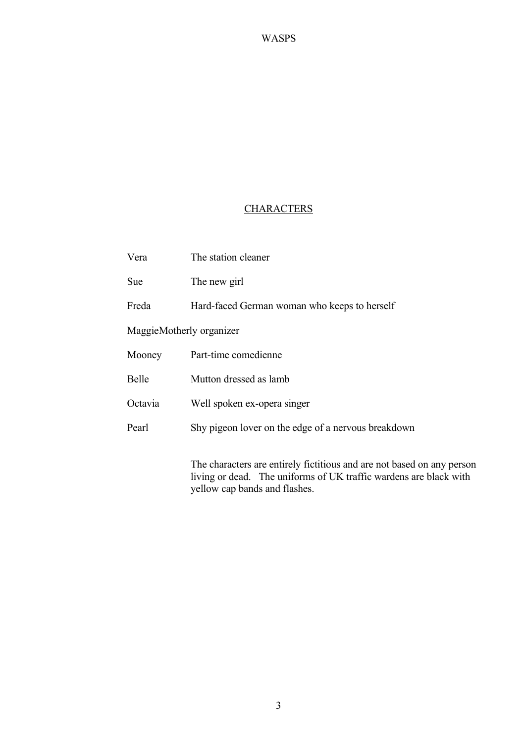#### **CHARACTERS**

| Vera                     | The station cleaner                                                    |
|--------------------------|------------------------------------------------------------------------|
| Sue                      | The new girl                                                           |
| Freda                    | Hard-faced German woman who keeps to herself                           |
| MaggieMotherly organizer |                                                                        |
| Mooney                   | Part-time comedienne                                                   |
| Belle                    | Mutton dressed as lamb                                                 |
| Octavia                  | Well spoken ex-opera singer                                            |
| Pearl                    | Shy pigeon lover on the edge of a nervous breakdown                    |
|                          | The characters are entirely fictitious and are not based on any person |

living or dead. The uniforms of UK traffic wardens are black with yellow cap bands and flashes.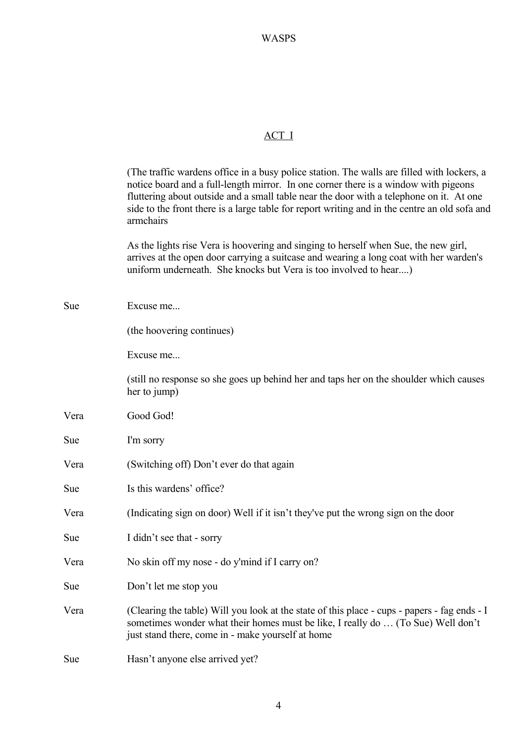#### ACT I

(The traffic wardens office in a busy police station. The walls are filled with lockers, a notice board and a full-length mirror. In one corner there is a window with pigeons fluttering about outside and a small table near the door with a telephone on it. At one side to the front there is a large table for report writing and in the centre an old sofa and armchairs

As the lights rise Vera is hoovering and singing to herself when Sue, the new girl, arrives at the open door carrying a suitcase and wearing a long coat with her warden's uniform underneath. She knocks but Vera is too involved to hear....)

| Sue        | Excuse me                                                                                                                                                                                                                             |
|------------|---------------------------------------------------------------------------------------------------------------------------------------------------------------------------------------------------------------------------------------|
|            | (the hoovering continues)                                                                                                                                                                                                             |
|            | Excuse me                                                                                                                                                                                                                             |
|            | (still no response so she goes up behind her and taps her on the shoulder which causes<br>her to jump)                                                                                                                                |
| Vera       | Good God!                                                                                                                                                                                                                             |
| <b>Sue</b> | I'm sorry                                                                                                                                                                                                                             |
| Vera       | (Switching off) Don't ever do that again                                                                                                                                                                                              |
| Sue        | Is this wardens' office?                                                                                                                                                                                                              |
| Vera       | (Indicating sign on door) Well if it isn't they've put the wrong sign on the door                                                                                                                                                     |
| Sue        | I didn't see that - sorry                                                                                                                                                                                                             |
| Vera       | No skin off my nose - do y'mind if I carry on?                                                                                                                                                                                        |
| Sue        | Don't let me stop you                                                                                                                                                                                                                 |
| Vera       | (Clearing the table) Will you look at the state of this place - cups - papers - fag ends - I<br>sometimes wonder what their homes must be like, I really do  (To Sue) Well don't<br>just stand there, come in - make yourself at home |
| Sue        | Hasn't anyone else arrived yet?                                                                                                                                                                                                       |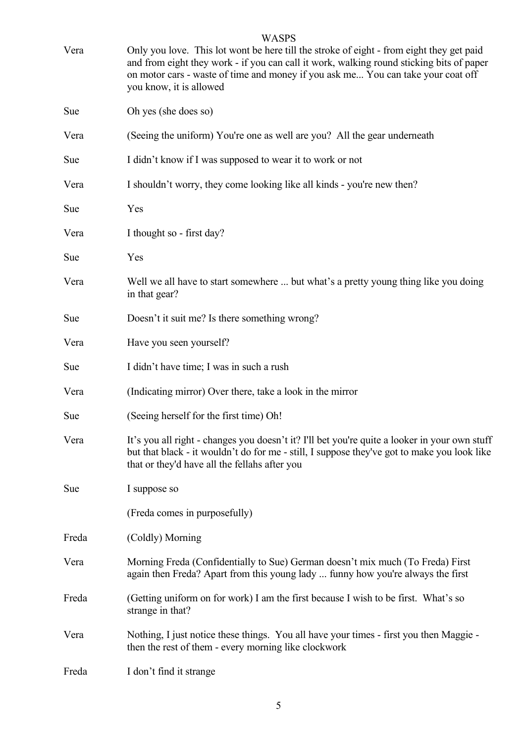| Vera  | <b>WASPS</b><br>Only you love. This lot wont be here till the stroke of eight - from eight they get paid<br>and from eight they work - if you can call it work, walking round sticking bits of paper<br>on motor cars - waste of time and money if you ask me You can take your coat off<br>you know, it is allowed |
|-------|---------------------------------------------------------------------------------------------------------------------------------------------------------------------------------------------------------------------------------------------------------------------------------------------------------------------|
| Sue   | Oh yes (she does so)                                                                                                                                                                                                                                                                                                |
| Vera  | (Seeing the uniform) You're one as well are you? All the gear underneath                                                                                                                                                                                                                                            |
| Sue   | I didn't know if I was supposed to wear it to work or not                                                                                                                                                                                                                                                           |
| Vera  | I shouldn't worry, they come looking like all kinds - you're new then?                                                                                                                                                                                                                                              |
| Sue   | Yes                                                                                                                                                                                                                                                                                                                 |
| Vera  | I thought so - first day?                                                                                                                                                                                                                                                                                           |
| Sue   | Yes                                                                                                                                                                                                                                                                                                                 |
| Vera  | Well we all have to start somewhere  but what's a pretty young thing like you doing<br>in that gear?                                                                                                                                                                                                                |
| Sue   | Doesn't it suit me? Is there something wrong?                                                                                                                                                                                                                                                                       |
| Vera  | Have you seen yourself?                                                                                                                                                                                                                                                                                             |
| Sue   | I didn't have time; I was in such a rush                                                                                                                                                                                                                                                                            |
| Vera  | (Indicating mirror) Over there, take a look in the mirror                                                                                                                                                                                                                                                           |
| Sue   | (Seeing herself for the first time) Oh!                                                                                                                                                                                                                                                                             |
| Vera  | It's you all right - changes you doesn't it? I'll bet you're quite a looker in your own stuff<br>but that black - it wouldn't do for me - still, I suppose they've got to make you look like<br>that or they'd have all the fellahs after you                                                                       |
| Sue   | I suppose so                                                                                                                                                                                                                                                                                                        |
|       | (Freda comes in purposefully)                                                                                                                                                                                                                                                                                       |
| Freda | (Coldly) Morning                                                                                                                                                                                                                                                                                                    |
| Vera  | Morning Freda (Confidentially to Sue) German doesn't mix much (To Freda) First<br>again then Freda? Apart from this young lady  funny how you're always the first                                                                                                                                                   |
| Freda | (Getting uniform on for work) I am the first because I wish to be first. What's so<br>strange in that?                                                                                                                                                                                                              |
| Vera  | Nothing, I just notice these things. You all have your times - first you then Maggie -<br>then the rest of them - every morning like clockwork                                                                                                                                                                      |
| Freda | I don't find it strange                                                                                                                                                                                                                                                                                             |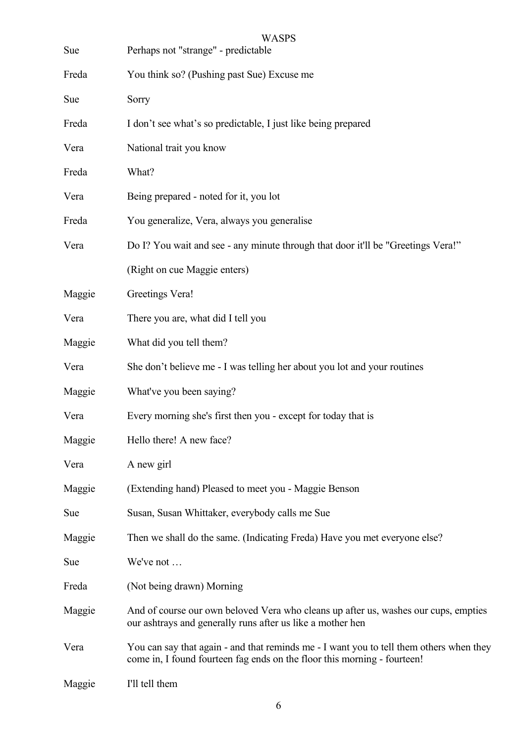| Sue    | <b>WASPS</b><br>Perhaps not "strange" - predictable                                                                                                                 |
|--------|---------------------------------------------------------------------------------------------------------------------------------------------------------------------|
| Freda  | You think so? (Pushing past Sue) Excuse me                                                                                                                          |
| Sue    | Sorry                                                                                                                                                               |
| Freda  | I don't see what's so predictable, I just like being prepared                                                                                                       |
| Vera   | National trait you know                                                                                                                                             |
| Freda  | What?                                                                                                                                                               |
| Vera   | Being prepared - noted for it, you lot                                                                                                                              |
| Freda  | You generalize, Vera, always you generalise                                                                                                                         |
| Vera   | Do I? You wait and see - any minute through that door it'll be "Greetings Vera!"                                                                                    |
|        | (Right on cue Maggie enters)                                                                                                                                        |
| Maggie | Greetings Vera!                                                                                                                                                     |
| Vera   | There you are, what did I tell you                                                                                                                                  |
| Maggie | What did you tell them?                                                                                                                                             |
| Vera   | She don't believe me - I was telling her about you lot and your routines                                                                                            |
| Maggie | What've you been saying?                                                                                                                                            |
| Vera   | Every morning she's first then you - except for today that is                                                                                                       |
| Maggie | Hello there! A new face?                                                                                                                                            |
| Vera   | A new girl                                                                                                                                                          |
| Maggie | (Extending hand) Pleased to meet you - Maggie Benson                                                                                                                |
| Sue    | Susan, Susan Whittaker, everybody calls me Sue                                                                                                                      |
| Maggie | Then we shall do the same. (Indicating Freda) Have you met everyone else?                                                                                           |
| Sue    | We've not                                                                                                                                                           |
| Freda  | (Not being drawn) Morning                                                                                                                                           |
| Maggie | And of course our own beloved Vera who cleans up after us, washes our cups, empties<br>our ashtrays and generally runs after us like a mother hen                   |
| Vera   | You can say that again - and that reminds me - I want you to tell them others when they<br>come in, I found fourteen fag ends on the floor this morning - fourteen! |
| Maggie | I'll tell them                                                                                                                                                      |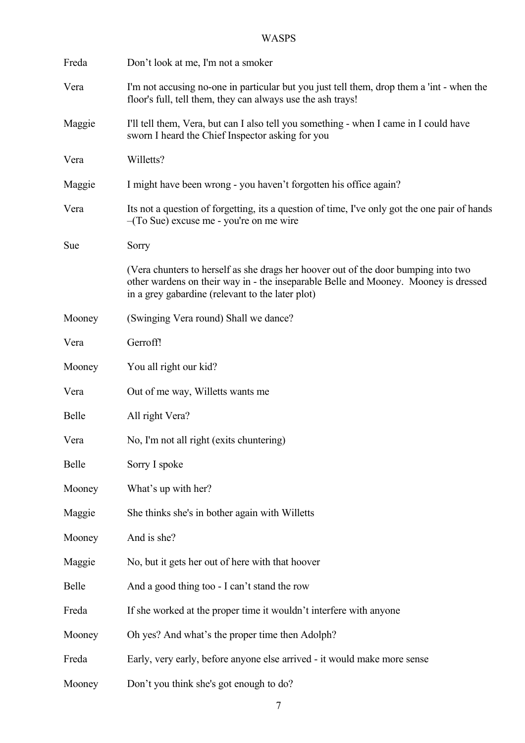| Freda  | Don't look at me, I'm not a smoker                                                                                                                                                                                            |
|--------|-------------------------------------------------------------------------------------------------------------------------------------------------------------------------------------------------------------------------------|
| Vera   | I'm not accusing no-one in particular but you just tell them, drop them a 'int - when the<br>floor's full, tell them, they can always use the ash trays!                                                                      |
| Maggie | I'll tell them, Vera, but can I also tell you something - when I came in I could have<br>sworn I heard the Chief Inspector asking for you                                                                                     |
| Vera   | Willetts?                                                                                                                                                                                                                     |
| Maggie | I might have been wrong - you haven't forgotten his office again?                                                                                                                                                             |
| Vera   | Its not a question of forgetting, its a question of time, I've only got the one pair of hands<br>$-(To Sue)$ excuse me - you're on me wire                                                                                    |
| Sue    | Sorry                                                                                                                                                                                                                         |
|        | (Vera chunters to herself as she drags her hoover out of the door bumping into two<br>other wardens on their way in - the inseparable Belle and Mooney. Mooney is dressed<br>in a grey gabardine (relevant to the later plot) |
| Mooney | (Swinging Vera round) Shall we dance?                                                                                                                                                                                         |
| Vera   | Gerroff!                                                                                                                                                                                                                      |
| Mooney | You all right our kid?                                                                                                                                                                                                        |
| Vera   | Out of me way, Willetts wants me                                                                                                                                                                                              |
| Belle  | All right Vera?                                                                                                                                                                                                               |
| Vera   | No, I'm not all right (exits chuntering)                                                                                                                                                                                      |
| Belle  | Sorry I spoke                                                                                                                                                                                                                 |
| Mooney | What's up with her?                                                                                                                                                                                                           |
| Maggie | She thinks she's in bother again with Willetts                                                                                                                                                                                |
| Mooney | And is she?                                                                                                                                                                                                                   |
| Maggie | No, but it gets her out of here with that hoover                                                                                                                                                                              |
| Belle  | And a good thing too - I can't stand the row                                                                                                                                                                                  |
| Freda  | If she worked at the proper time it wouldn't interfere with anyone                                                                                                                                                            |
| Mooney | Oh yes? And what's the proper time then Adolph?                                                                                                                                                                               |
| Freda  | Early, very early, before anyone else arrived - it would make more sense                                                                                                                                                      |
| Mooney | Don't you think she's got enough to do?                                                                                                                                                                                       |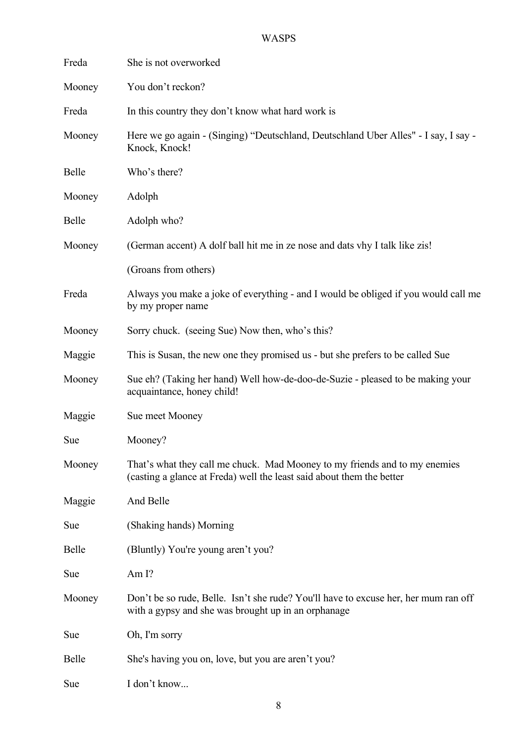| Freda  | She is not overworked                                                                                                                               |
|--------|-----------------------------------------------------------------------------------------------------------------------------------------------------|
| Mooney | You don't reckon?                                                                                                                                   |
| Freda  | In this country they don't know what hard work is                                                                                                   |
| Mooney | Here we go again - (Singing) "Deutschland, Deutschland Uber Alles" - I say, I say -<br>Knock, Knock!                                                |
| Belle  | Who's there?                                                                                                                                        |
| Mooney | Adolph                                                                                                                                              |
| Belle  | Adolph who?                                                                                                                                         |
| Mooney | (German accent) A dolf ball hit me in ze nose and dats vhy I talk like zis!                                                                         |
|        | (Groans from others)                                                                                                                                |
| Freda  | Always you make a joke of everything - and I would be obliged if you would call me<br>by my proper name                                             |
| Mooney | Sorry chuck. (seeing Sue) Now then, who's this?                                                                                                     |
| Maggie | This is Susan, the new one they promised us - but she prefers to be called Sue                                                                      |
| Mooney | Sue eh? (Taking her hand) Well how-de-doo-de-Suzie - pleased to be making your<br>acquaintance, honey child!                                        |
| Maggie | Sue meet Mooney                                                                                                                                     |
| Sue    | Mooney?                                                                                                                                             |
| Mooney | That's what they call me chuck. Mad Mooney to my friends and to my enemies<br>(casting a glance at Freda) well the least said about them the better |
| Maggie | And Belle                                                                                                                                           |
| Sue    | (Shaking hands) Morning                                                                                                                             |
| Belle  | (Bluntly) You're young aren't you?                                                                                                                  |
| Sue    | Am <sub>I?</sub>                                                                                                                                    |
| Mooney | Don't be so rude, Belle. Isn't she rude? You'll have to excuse her, her mum ran off<br>with a gypsy and she was brought up in an orphanage          |
| Sue    | Oh, I'm sorry                                                                                                                                       |
| Belle  | She's having you on, love, but you are aren't you?                                                                                                  |
| Sue    | I don't know                                                                                                                                        |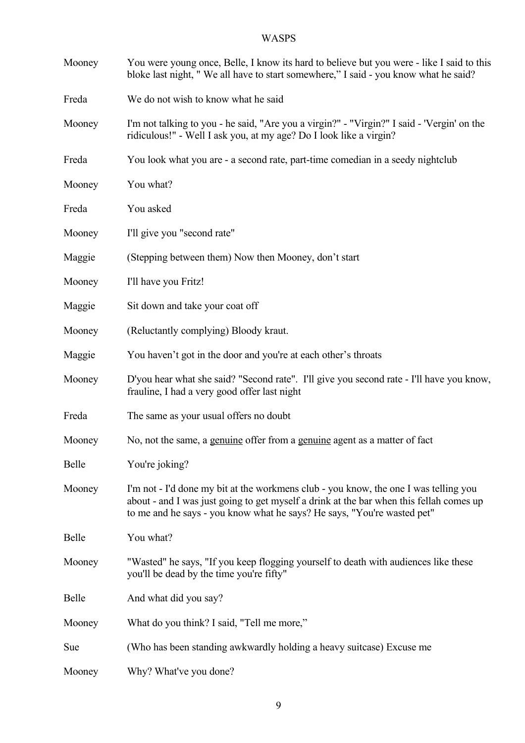| Mooney | You were young once, Belle, I know its hard to believe but you were - like I said to this<br>bloke last night, "We all have to start somewhere," I said - you know what he said?                                                                           |
|--------|------------------------------------------------------------------------------------------------------------------------------------------------------------------------------------------------------------------------------------------------------------|
| Freda  | We do not wish to know what he said                                                                                                                                                                                                                        |
| Mooney | I'm not talking to you - he said, "Are you a virgin?" - "Virgin?" I said - 'Vergin' on the<br>ridiculous!" - Well I ask you, at my age? Do I look like a virgin?                                                                                           |
| Freda  | You look what you are - a second rate, part-time comedian in a seedy nightclub                                                                                                                                                                             |
| Mooney | You what?                                                                                                                                                                                                                                                  |
| Freda  | You asked                                                                                                                                                                                                                                                  |
| Mooney | I'll give you "second rate"                                                                                                                                                                                                                                |
| Maggie | (Stepping between them) Now then Mooney, don't start                                                                                                                                                                                                       |
| Mooney | I'll have you Fritz!                                                                                                                                                                                                                                       |
| Maggie | Sit down and take your coat off                                                                                                                                                                                                                            |
| Mooney | (Reluctantly complying) Bloody kraut.                                                                                                                                                                                                                      |
| Maggie | You haven't got in the door and you're at each other's throats                                                                                                                                                                                             |
| Mooney | D'you hear what she said? "Second rate". I'll give you second rate - I'll have you know,<br>frauline, I had a very good offer last night                                                                                                                   |
| Freda  | The same as your usual offers no doubt                                                                                                                                                                                                                     |
| Mooney | No, not the same, a genuine offer from a genuine agent as a matter of fact                                                                                                                                                                                 |
| Belle  | You're joking?                                                                                                                                                                                                                                             |
| Mooney | I'm not - I'd done my bit at the workmens club - you know, the one I was telling you<br>about - and I was just going to get myself a drink at the bar when this fellah comes up<br>to me and he says - you know what he says? He says, "You're wasted pet" |
| Belle  | You what?                                                                                                                                                                                                                                                  |
| Mooney | "Wasted" he says, "If you keep flogging yourself to death with audiences like these<br>you'll be dead by the time you're fifty"                                                                                                                            |
| Belle  | And what did you say?                                                                                                                                                                                                                                      |
| Mooney | What do you think? I said, "Tell me more,"                                                                                                                                                                                                                 |
| Sue    | (Who has been standing awkwardly holding a heavy suitcase) Excuse me                                                                                                                                                                                       |
| Mooney | Why? What've you done?                                                                                                                                                                                                                                     |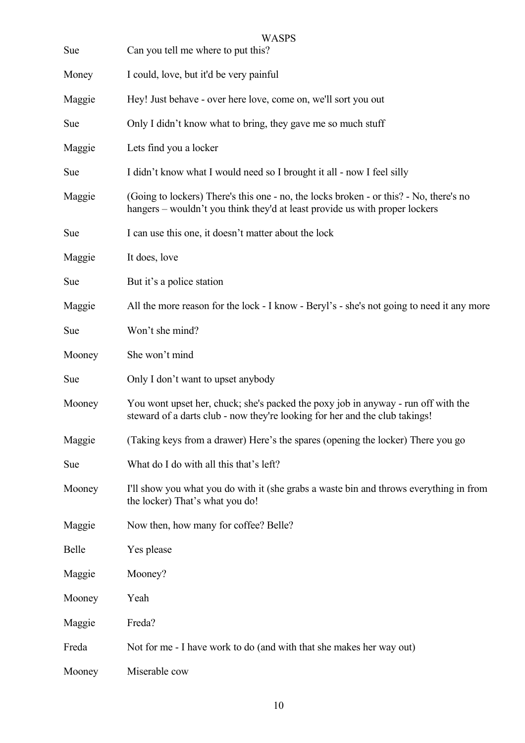| Sue    | <b>WASPS</b><br>Can you tell me where to put this?                                                                                                                    |
|--------|-----------------------------------------------------------------------------------------------------------------------------------------------------------------------|
| Money  | I could, love, but it'd be very painful                                                                                                                               |
| Maggie | Hey! Just behave - over here love, come on, we'll sort you out                                                                                                        |
| Sue    | Only I didn't know what to bring, they gave me so much stuff                                                                                                          |
| Maggie | Lets find you a locker                                                                                                                                                |
| Sue    | I didn't know what I would need so I brought it all - now I feel silly                                                                                                |
| Maggie | (Going to lockers) There's this one - no, the locks broken - or this? - No, there's no<br>hangers - wouldn't you think they'd at least provide us with proper lockers |
| Sue    | I can use this one, it doesn't matter about the lock                                                                                                                  |
| Maggie | It does, love                                                                                                                                                         |
| Sue    | But it's a police station                                                                                                                                             |
| Maggie | All the more reason for the lock - I know - Beryl's - she's not going to need it any more                                                                             |
| Sue    | Won't she mind?                                                                                                                                                       |
| Mooney | She won't mind                                                                                                                                                        |
| Sue    | Only I don't want to upset anybody                                                                                                                                    |
| Mooney | You wont upset her, chuck; she's packed the poxy job in anyway - run off with the<br>steward of a darts club - now they're looking for her and the club takings!      |
| Maggie | (Taking keys from a drawer) Here's the spares (opening the locker) There you go                                                                                       |
| Sue    | What do I do with all this that's left?                                                                                                                               |
| Mooney | I'll show you what you do with it (she grabs a waste bin and throws everything in from<br>the locker) That's what you do!                                             |
| Maggie | Now then, how many for coffee? Belle?                                                                                                                                 |
| Belle  | Yes please                                                                                                                                                            |
| Maggie | Mooney?                                                                                                                                                               |
| Mooney | Yeah                                                                                                                                                                  |
| Maggie | Freda?                                                                                                                                                                |
| Freda  | Not for me - I have work to do (and with that she makes her way out)                                                                                                  |
| Mooney | Miserable cow                                                                                                                                                         |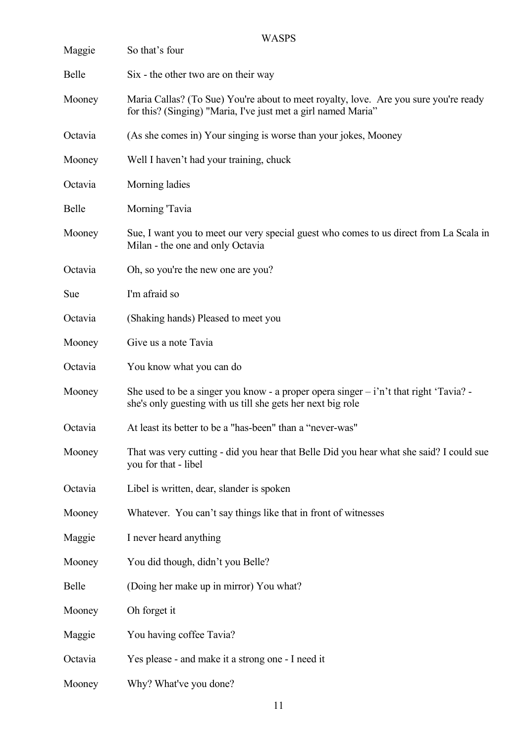| <b>WASPS</b> |                                                                                                                                                       |
|--------------|-------------------------------------------------------------------------------------------------------------------------------------------------------|
| Maggie       | So that's four                                                                                                                                        |
| <b>Belle</b> | Six - the other two are on their way                                                                                                                  |
| Mooney       | Maria Callas? (To Sue) You're about to meet royalty, love. Are you sure you're ready<br>for this? (Singing) "Maria, I've just met a girl named Maria" |
| Octavia      | (As she comes in) Your singing is worse than your jokes, Mooney                                                                                       |
| Mooney       | Well I haven't had your training, chuck                                                                                                               |
| Octavia      | Morning ladies                                                                                                                                        |
| Belle        | Morning Tavia                                                                                                                                         |
| Mooney       | Sue, I want you to meet our very special guest who comes to us direct from La Scala in<br>Milan - the one and only Octavia                            |
| Octavia      | Oh, so you're the new one are you?                                                                                                                    |
| Sue          | I'm afraid so                                                                                                                                         |
| Octavia      | (Shaking hands) Pleased to meet you                                                                                                                   |
| Mooney       | Give us a note Tavia                                                                                                                                  |
| Octavia      | You know what you can do                                                                                                                              |
| Mooney       | She used to be a singer you know - a proper opera singer $-i$ n't that right 'Tavia? -<br>she's only guesting with us till she gets her next big role |
| Octavia      | At least its better to be a "has-been" than a "never-was"                                                                                             |
| Mooney       | That was very cutting - did you hear that Belle Did you hear what she said? I could sue<br>you for that - libel                                       |
| Octavia      | Libel is written, dear, slander is spoken                                                                                                             |
| Mooney       | Whatever. You can't say things like that in front of witnesses                                                                                        |
| Maggie       | I never heard anything                                                                                                                                |
| Mooney       | You did though, didn't you Belle?                                                                                                                     |
| Belle        | (Doing her make up in mirror) You what?                                                                                                               |
| Mooney       | Oh forget it                                                                                                                                          |
| Maggie       | You having coffee Tavia?                                                                                                                              |
| Octavia      | Yes please - and make it a strong one - I need it                                                                                                     |
| Mooney       | Why? What've you done?                                                                                                                                |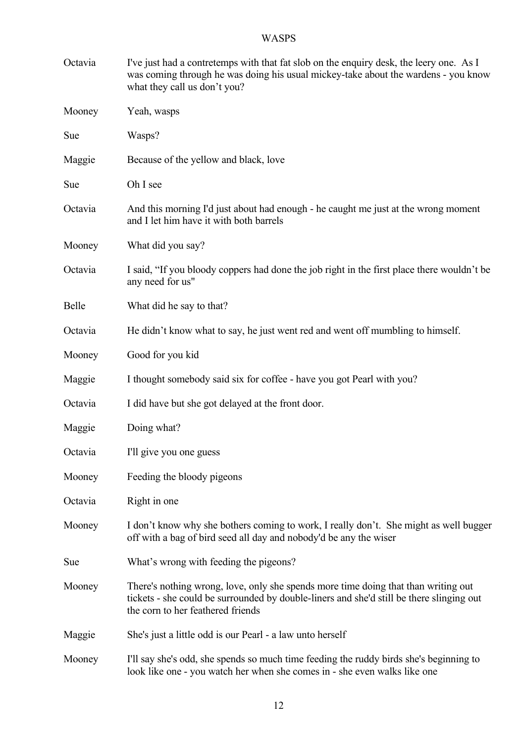| Octavia | I've just had a contretemps with that fat slob on the enquiry desk, the leery one. As I<br>was coming through he was doing his usual mickey-take about the wardens - you know<br>what they call us don't you?       |
|---------|---------------------------------------------------------------------------------------------------------------------------------------------------------------------------------------------------------------------|
| Mooney  | Yeah, wasps                                                                                                                                                                                                         |
| Sue     | Wasps?                                                                                                                                                                                                              |
| Maggie  | Because of the yellow and black, love                                                                                                                                                                               |
| Sue     | Oh I see                                                                                                                                                                                                            |
| Octavia | And this morning I'd just about had enough - he caught me just at the wrong moment<br>and I let him have it with both barrels                                                                                       |
| Mooney  | What did you say?                                                                                                                                                                                                   |
| Octavia | I said, "If you bloody coppers had done the job right in the first place there wouldn't be<br>any need for us"                                                                                                      |
| Belle   | What did he say to that?                                                                                                                                                                                            |
| Octavia | He didn't know what to say, he just went red and went off mumbling to himself.                                                                                                                                      |
| Mooney  | Good for you kid                                                                                                                                                                                                    |
| Maggie  | I thought somebody said six for coffee - have you got Pearl with you?                                                                                                                                               |
| Octavia | I did have but she got delayed at the front door.                                                                                                                                                                   |
| Maggie  | Doing what?                                                                                                                                                                                                         |
| Octavia | I'll give you one guess                                                                                                                                                                                             |
| Mooney  | Feeding the bloody pigeons                                                                                                                                                                                          |
| Octavia | Right in one                                                                                                                                                                                                        |
| Mooney  | I don't know why she bothers coming to work, I really don't. She might as well bugger<br>off with a bag of bird seed all day and nobody'd be any the wiser                                                          |
| Sue     | What's wrong with feeding the pigeons?                                                                                                                                                                              |
| Mooney  | There's nothing wrong, love, only she spends more time doing that than writing out<br>tickets - she could be surrounded by double-liners and she'd still be there slinging out<br>the corn to her feathered friends |
| Maggie  | She's just a little odd is our Pearl - a law unto herself                                                                                                                                                           |
| Mooney  | I'll say she's odd, she spends so much time feeding the ruddy birds she's beginning to<br>look like one - you watch her when she comes in - she even walks like one                                                 |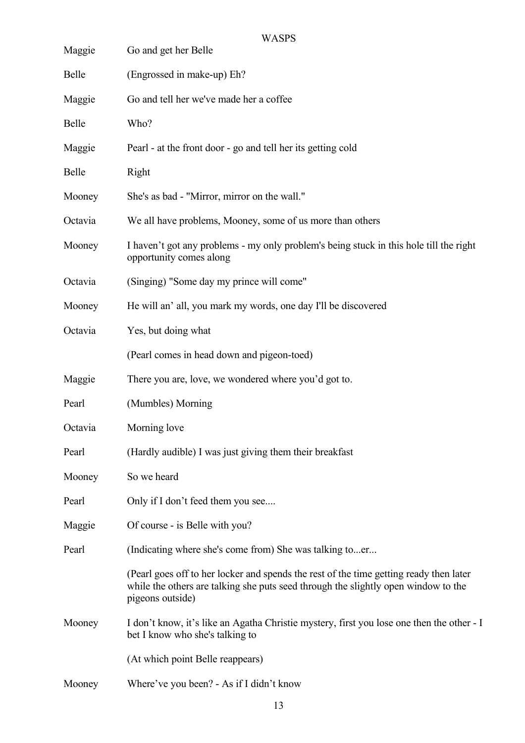|         | <b>WASPS</b>                                                                                                                                                                                     |
|---------|--------------------------------------------------------------------------------------------------------------------------------------------------------------------------------------------------|
| Maggie  | Go and get her Belle                                                                                                                                                                             |
| Belle   | (Engrossed in make-up) Eh?                                                                                                                                                                       |
| Maggie  | Go and tell her we've made her a coffee                                                                                                                                                          |
| Belle   | Who?                                                                                                                                                                                             |
| Maggie  | Pearl - at the front door - go and tell her its getting cold                                                                                                                                     |
| Belle   | Right                                                                                                                                                                                            |
| Mooney  | She's as bad - "Mirror, mirror on the wall."                                                                                                                                                     |
| Octavia | We all have problems, Mooney, some of us more than others                                                                                                                                        |
| Mooney  | I haven't got any problems - my only problem's being stuck in this hole till the right<br>opportunity comes along                                                                                |
| Octavia | (Singing) "Some day my prince will come"                                                                                                                                                         |
| Mooney  | He will an' all, you mark my words, one day I'll be discovered                                                                                                                                   |
| Octavia | Yes, but doing what                                                                                                                                                                              |
|         | (Pearl comes in head down and pigeon-toed)                                                                                                                                                       |
| Maggie  | There you are, love, we wondered where you'd got to.                                                                                                                                             |
| Pearl   | (Mumbles) Morning                                                                                                                                                                                |
| Octavia | Morning love                                                                                                                                                                                     |
| Pearl   | (Hardly audible) I was just giving them their breakfast                                                                                                                                          |
| Mooney  | So we heard                                                                                                                                                                                      |
| Pearl   | Only if I don't feed them you see                                                                                                                                                                |
| Maggie  | Of course - is Belle with you?                                                                                                                                                                   |
| Pearl   | (Indicating where she's come from) She was talking toer                                                                                                                                          |
|         | (Pearl goes off to her locker and spends the rest of the time getting ready then later<br>while the others are talking she puts seed through the slightly open window to the<br>pigeons outside) |
| Mooney  | I don't know, it's like an Agatha Christie mystery, first you lose one then the other - I<br>bet I know who she's talking to                                                                     |
|         | (At which point Belle reappears)                                                                                                                                                                 |
| Mooney  | Where've you been? - As if I didn't know                                                                                                                                                         |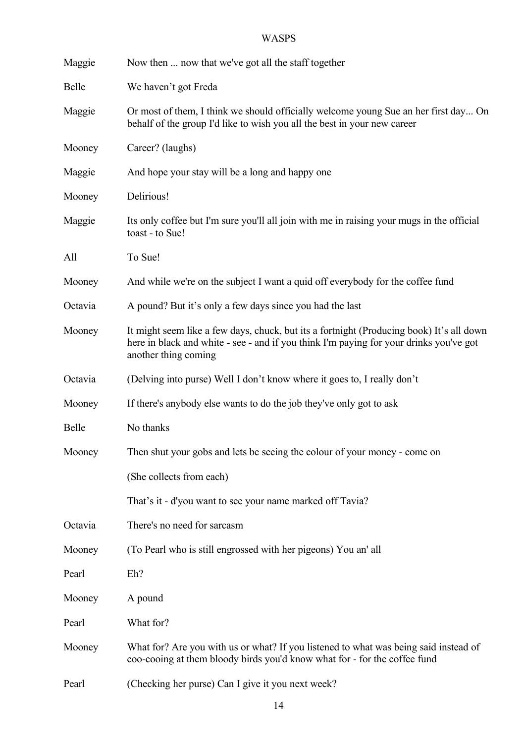| Maggie  | Now then  now that we've got all the staff together                                                                                                                                                        |
|---------|------------------------------------------------------------------------------------------------------------------------------------------------------------------------------------------------------------|
| Belle   | We haven't got Freda                                                                                                                                                                                       |
| Maggie  | Or most of them, I think we should officially welcome young Sue an her first day On<br>behalf of the group I'd like to wish you all the best in your new career                                            |
| Mooney  | Career? (laughs)                                                                                                                                                                                           |
| Maggie  | And hope your stay will be a long and happy one                                                                                                                                                            |
| Mooney  | Delirious!                                                                                                                                                                                                 |
| Maggie  | Its only coffee but I'm sure you'll all join with me in raising your mugs in the official<br>toast - to Sue!                                                                                               |
| All     | To Sue!                                                                                                                                                                                                    |
| Mooney  | And while we're on the subject I want a quid off everybody for the coffee fund                                                                                                                             |
| Octavia | A pound? But it's only a few days since you had the last                                                                                                                                                   |
| Mooney  | It might seem like a few days, chuck, but its a fortnight (Producing book) It's all down<br>here in black and white - see - and if you think I'm paying for your drinks you've got<br>another thing coming |
| Octavia | (Delving into purse) Well I don't know where it goes to, I really don't                                                                                                                                    |
| Mooney  | If there's anybody else wants to do the job they've only got to ask                                                                                                                                        |
| Belle   | No thanks                                                                                                                                                                                                  |
| Mooney  | Then shut your gobs and lets be seeing the colour of your money - come on                                                                                                                                  |
|         | (She collects from each)                                                                                                                                                                                   |
|         | That's it - d'you want to see your name marked off Tavia?                                                                                                                                                  |
| Octavia | There's no need for sarcasm                                                                                                                                                                                |
| Mooney  | (To Pearl who is still engrossed with her pigeons) You an' all                                                                                                                                             |
| Pearl   | Eh?                                                                                                                                                                                                        |
| Mooney  | A pound                                                                                                                                                                                                    |
| Pearl   | What for?                                                                                                                                                                                                  |
| Mooney  | What for? Are you with us or what? If you listened to what was being said instead of<br>coo-cooing at them bloody birds you'd know what for - for the coffee fund                                          |
| Pearl   | (Checking her purse) Can I give it you next week?                                                                                                                                                          |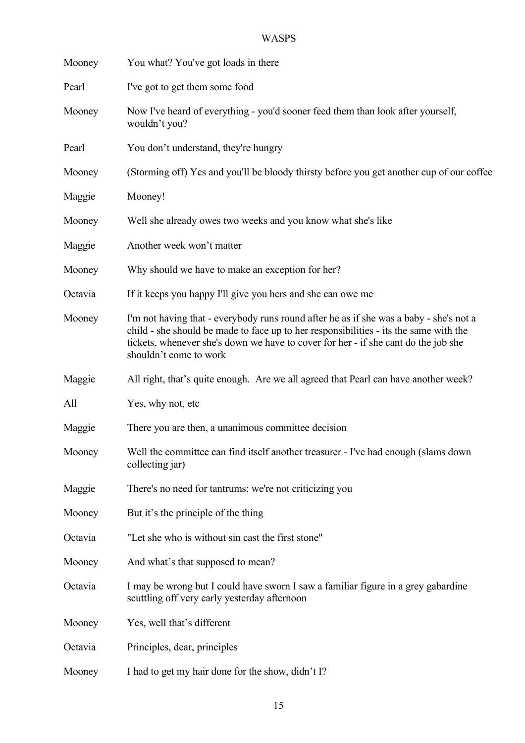| Mooney  | You what? You've got loads in there                                                                                                                                                                                                                                                             |
|---------|-------------------------------------------------------------------------------------------------------------------------------------------------------------------------------------------------------------------------------------------------------------------------------------------------|
| Pearl   | I've got to get them some food                                                                                                                                                                                                                                                                  |
| Mooney  | Now I've heard of everything - you'd sooner feed them than look after yourself,<br>wouldn't you?                                                                                                                                                                                                |
| Pearl   | You don't understand, they're hungry                                                                                                                                                                                                                                                            |
| Mooney  | (Storming off) Yes and you'll be bloody thirsty before you get another cup of our coffee                                                                                                                                                                                                        |
| Maggie  | Mooney!                                                                                                                                                                                                                                                                                         |
| Mooney  | Well she already owes two weeks and you know what she's like                                                                                                                                                                                                                                    |
| Maggie  | Another week won't matter                                                                                                                                                                                                                                                                       |
| Mooney  | Why should we have to make an exception for her?                                                                                                                                                                                                                                                |
| Octavia | If it keeps you happy I'll give you hers and she can owe me                                                                                                                                                                                                                                     |
| Mooney  | I'm not having that - everybody runs round after he as if she was a baby - she's not a<br>child - she should be made to face up to her responsibilities - its the same with the<br>tickets, whenever she's down we have to cover for her - if she cant do the job she<br>shouldn't come to work |
| Maggie  | All right, that's quite enough. Are we all agreed that Pearl can have another week?                                                                                                                                                                                                             |
| All     | Yes, why not, etc                                                                                                                                                                                                                                                                               |
| Maggie  | There you are then, a unanimous committee decision                                                                                                                                                                                                                                              |
| Mooney  | Well the committee can find itself another treasurer - I've had enough (slams down<br>collecting jar)                                                                                                                                                                                           |
| Maggie  | There's no need for tantrums; we're not criticizing you                                                                                                                                                                                                                                         |
| Mooney  | But it's the principle of the thing                                                                                                                                                                                                                                                             |
| Octavia | "Let she who is without sin cast the first stone"                                                                                                                                                                                                                                               |
| Mooney  | And what's that supposed to mean?                                                                                                                                                                                                                                                               |
| Octavia | I may be wrong but I could have sworn I saw a familiar figure in a grey gabardine<br>scuttling off very early yesterday afternoon                                                                                                                                                               |
| Mooney  | Yes, well that's different                                                                                                                                                                                                                                                                      |
| Octavia | Principles, dear, principles                                                                                                                                                                                                                                                                    |
| Mooney  | I had to get my hair done for the show, didn't I?                                                                                                                                                                                                                                               |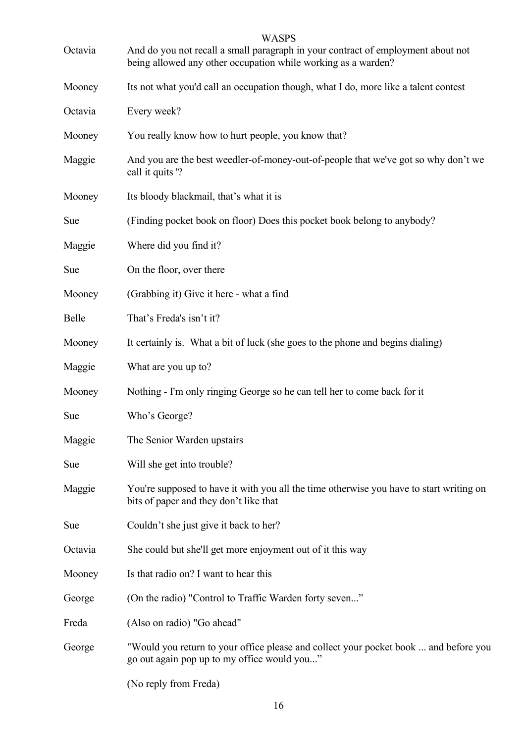|         | <b>WASPS</b>                                                                                                                                      |
|---------|---------------------------------------------------------------------------------------------------------------------------------------------------|
| Octavia | And do you not recall a small paragraph in your contract of employment about not<br>being allowed any other occupation while working as a warden? |
| Mooney  | Its not what you'd call an occupation though, what I do, more like a talent contest                                                               |
| Octavia | Every week?                                                                                                                                       |
| Mooney  | You really know how to hurt people, you know that?                                                                                                |
| Maggie  | And you are the best weedler-of-money-out-of-people that we've got so why don't we<br>call it quits '?                                            |
| Mooney  | Its bloody blackmail, that's what it is                                                                                                           |
| Sue     | (Finding pocket book on floor) Does this pocket book belong to anybody?                                                                           |
| Maggie  | Where did you find it?                                                                                                                            |
| Sue     | On the floor, over there                                                                                                                          |
| Mooney  | (Grabbing it) Give it here - what a find                                                                                                          |
| Belle   | That's Freda's isn't it?                                                                                                                          |
| Mooney  | It certainly is. What a bit of luck (she goes to the phone and begins dialing)                                                                    |
| Maggie  | What are you up to?                                                                                                                               |
| Mooney  | Nothing - I'm only ringing George so he can tell her to come back for it                                                                          |
| Sue     | Who's George?                                                                                                                                     |
| Maggie  | The Senior Warden upstairs                                                                                                                        |
| Sue     | Will she get into trouble?                                                                                                                        |
| Maggie  | You're supposed to have it with you all the time otherwise you have to start writing on<br>bits of paper and they don't like that                 |
| Sue     | Couldn't she just give it back to her?                                                                                                            |
| Octavia | She could but she'll get more enjoyment out of it this way                                                                                        |
| Mooney  | Is that radio on? I want to hear this                                                                                                             |
| George  | (On the radio) "Control to Traffic Warden forty seven"                                                                                            |
| Freda   | (Also on radio) "Go ahead"                                                                                                                        |
| George  | "Would you return to your office please and collect your pocket book  and before you<br>go out again pop up to my office would you"               |
|         | (No reply from Freda)                                                                                                                             |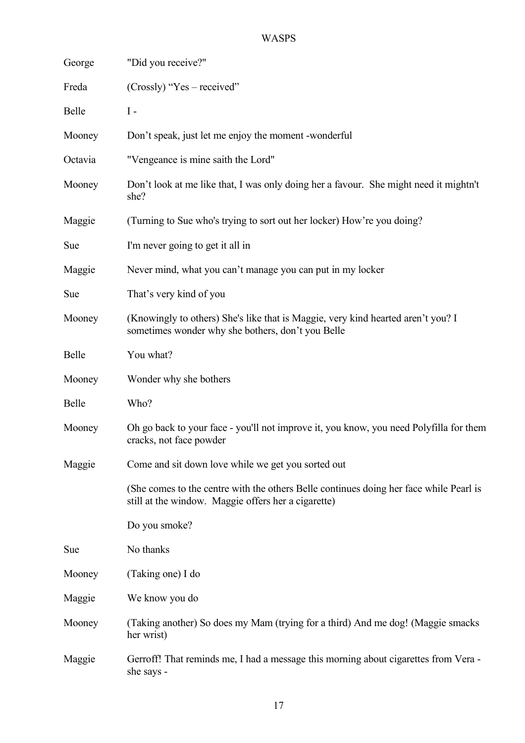| George  | "Did you receive?"                                                                                                                            |
|---------|-----------------------------------------------------------------------------------------------------------------------------------------------|
| Freda   | $(Crossly)$ "Yes – received"                                                                                                                  |
| Belle   | $I -$                                                                                                                                         |
| Mooney  | Don't speak, just let me enjoy the moment -wonderful                                                                                          |
| Octavia | "Vengeance is mine saith the Lord"                                                                                                            |
| Mooney  | Don't look at me like that, I was only doing her a favour. She might need it mightn't<br>she?                                                 |
| Maggie  | (Turning to Sue who's trying to sort out her locker) How're you doing?                                                                        |
| Sue     | I'm never going to get it all in                                                                                                              |
| Maggie  | Never mind, what you can't manage you can put in my locker                                                                                    |
| Sue     | That's very kind of you                                                                                                                       |
| Mooney  | (Knowingly to others) She's like that is Maggie, very kind hearted aren't you? I<br>sometimes wonder why she bothers, don't you Belle         |
| Belle   | You what?                                                                                                                                     |
| Mooney  | Wonder why she bothers                                                                                                                        |
| Belle   | Who?                                                                                                                                          |
| Mooney  | Oh go back to your face - you'll not improve it, you know, you need Polyfilla for them<br>cracks, not face powder                             |
| Maggie  | Come and sit down love while we get you sorted out                                                                                            |
|         | (She comes to the centre with the others Belle continues doing her face while Pearl is<br>still at the window. Maggie offers her a cigarette) |
|         | Do you smoke?                                                                                                                                 |
| Sue     | No thanks                                                                                                                                     |
| Mooney  | (Taking one) I do                                                                                                                             |
| Maggie  | We know you do                                                                                                                                |
| Mooney  | (Taking another) So does my Mam (trying for a third) And me dog! (Maggie smacks<br>her wrist)                                                 |
| Maggie  | Gerroff! That reminds me, I had a message this morning about cigarettes from Vera -<br>she says -                                             |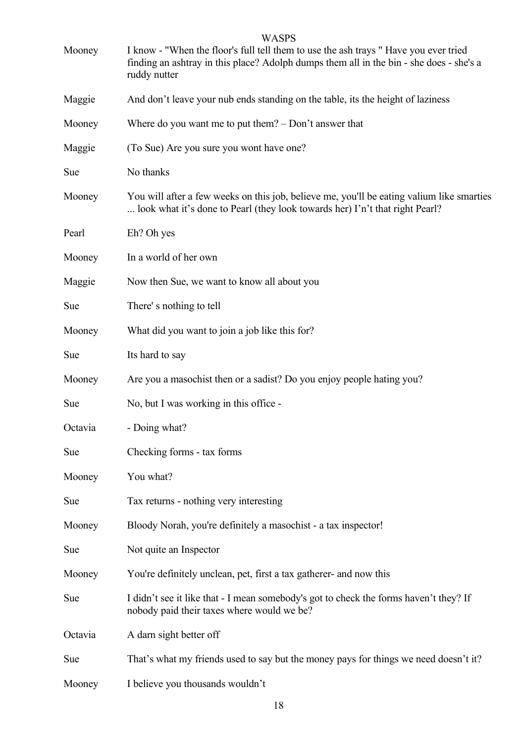| Mooney  | <b>WASPS</b><br>I know - "When the floor's full tell them to use the ash trays" Have you ever tried<br>finding an ashtray in this place? Adolph dumps them all in the bin - she does - she's a<br>ruddy nutter |
|---------|----------------------------------------------------------------------------------------------------------------------------------------------------------------------------------------------------------------|
| Maggie  | And don't leave your nub ends standing on the table, its the height of laziness                                                                                                                                |
| Mooney  | Where do you want me to put them? $-$ Don't answer that                                                                                                                                                        |
| Maggie  | (To Sue) Are you sure you wont have one?                                                                                                                                                                       |
| Sue     | No thanks                                                                                                                                                                                                      |
| Mooney  | You will after a few weeks on this job, believe me, you'll be eating valium like smarties<br>look what it's done to Pearl (they look towards her) I'n't that right Pearl?                                      |
| Pearl   | Eh? Oh yes                                                                                                                                                                                                     |
| Mooney  | In a world of her own                                                                                                                                                                                          |
| Maggie  | Now then Sue, we want to know all about you                                                                                                                                                                    |
| Sue     | There's nothing to tell                                                                                                                                                                                        |
| Mooney  | What did you want to join a job like this for?                                                                                                                                                                 |
| Sue     | Its hard to say                                                                                                                                                                                                |
| Mooney  | Are you a masochist then or a sadist? Do you enjoy people hating you?                                                                                                                                          |
| Sue     | No, but I was working in this office -                                                                                                                                                                         |
| Octavia | - Doing what?                                                                                                                                                                                                  |
| Sue     | Checking forms - tax forms                                                                                                                                                                                     |
| Mooney  | You what?                                                                                                                                                                                                      |
| Sue     | Tax returns - nothing very interesting                                                                                                                                                                         |
| Mooney  | Bloody Norah, you're definitely a masochist - a tax inspector!                                                                                                                                                 |
| Sue     | Not quite an Inspector                                                                                                                                                                                         |
| Mooney  | You're definitely unclean, pet, first a tax gatherer- and now this                                                                                                                                             |
| Sue     | I didn't see it like that - I mean somebody's got to check the forms haven't they? If<br>nobody paid their taxes where would we be?                                                                            |
| Octavia | A darn sight better off                                                                                                                                                                                        |
| Sue     | That's what my friends used to say but the money pays for things we need doesn't it?                                                                                                                           |
| Mooney  | I believe you thousands wouldn't                                                                                                                                                                               |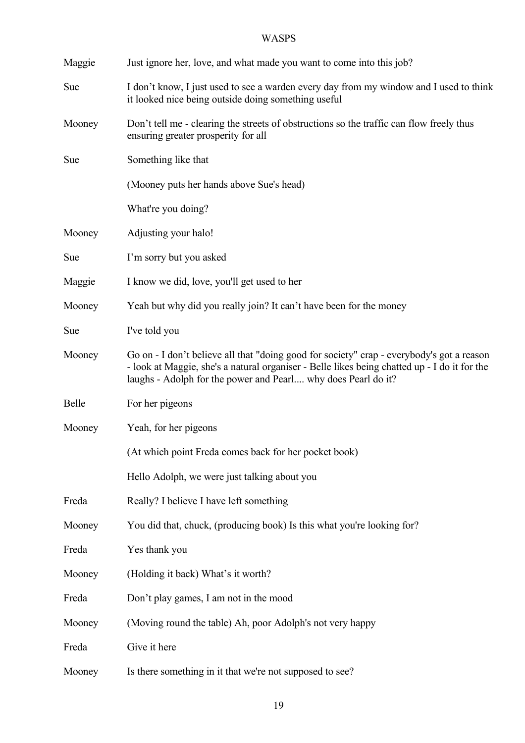| Maggie | Just ignore her, love, and what made you want to come into this job?                                                                                                                                                                                       |
|--------|------------------------------------------------------------------------------------------------------------------------------------------------------------------------------------------------------------------------------------------------------------|
|        |                                                                                                                                                                                                                                                            |
| Sue    | I don't know, I just used to see a warden every day from my window and I used to think<br>it looked nice being outside doing something useful                                                                                                              |
| Mooney | Don't tell me - clearing the streets of obstructions so the traffic can flow freely thus<br>ensuring greater prosperity for all                                                                                                                            |
| Sue    | Something like that                                                                                                                                                                                                                                        |
|        | (Mooney puts her hands above Sue's head)                                                                                                                                                                                                                   |
|        | What're you doing?                                                                                                                                                                                                                                         |
| Mooney | Adjusting your halo!                                                                                                                                                                                                                                       |
| Sue    | I'm sorry but you asked                                                                                                                                                                                                                                    |
| Maggie | I know we did, love, you'll get used to her                                                                                                                                                                                                                |
| Mooney | Yeah but why did you really join? It can't have been for the money                                                                                                                                                                                         |
| Sue    | I've told you                                                                                                                                                                                                                                              |
| Mooney | Go on - I don't believe all that "doing good for society" crap - everybody's got a reason<br>- look at Maggie, she's a natural organiser - Belle likes being chatted up - I do it for the<br>laughs - Adolph for the power and Pearl why does Pearl do it? |
| Belle  | For her pigeons                                                                                                                                                                                                                                            |
| Mooney | Yeah, for her pigeons                                                                                                                                                                                                                                      |
|        | (At which point Freda comes back for her pocket book)                                                                                                                                                                                                      |
|        | Hello Adolph, we were just talking about you                                                                                                                                                                                                               |
| Freda  | Really? I believe I have left something                                                                                                                                                                                                                    |
| Mooney | You did that, chuck, (producing book) Is this what you're looking for?                                                                                                                                                                                     |
| Freda  | Yes thank you                                                                                                                                                                                                                                              |
| Mooney | (Holding it back) What's it worth?                                                                                                                                                                                                                         |
| Freda  | Don't play games, I am not in the mood                                                                                                                                                                                                                     |
| Mooney | (Moving round the table) Ah, poor Adolph's not very happy                                                                                                                                                                                                  |
| Freda  | Give it here                                                                                                                                                                                                                                               |
| Mooney | Is there something in it that we're not supposed to see?                                                                                                                                                                                                   |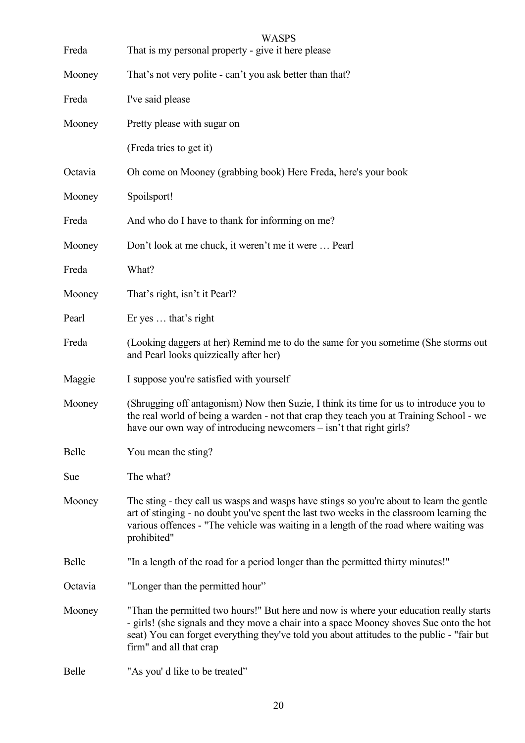| Freda   | <b>WASPS</b><br>That is my personal property - give it here please                                                                                                                                                                                                                                         |
|---------|------------------------------------------------------------------------------------------------------------------------------------------------------------------------------------------------------------------------------------------------------------------------------------------------------------|
| Mooney  | That's not very polite - can't you ask better than that?                                                                                                                                                                                                                                                   |
| Freda   | I've said please                                                                                                                                                                                                                                                                                           |
| Mooney  | Pretty please with sugar on                                                                                                                                                                                                                                                                                |
|         | (Freda tries to get it)                                                                                                                                                                                                                                                                                    |
| Octavia | Oh come on Mooney (grabbing book) Here Freda, here's your book                                                                                                                                                                                                                                             |
| Mooney  | Spoilsport!                                                                                                                                                                                                                                                                                                |
| Freda   | And who do I have to thank for informing on me?                                                                                                                                                                                                                                                            |
| Mooney  | Don't look at me chuck, it weren't me it were  Pearl                                                                                                                                                                                                                                                       |
| Freda   | What?                                                                                                                                                                                                                                                                                                      |
| Mooney  | That's right, isn't it Pearl?                                                                                                                                                                                                                                                                              |
| Pearl   | Er yes  that's right                                                                                                                                                                                                                                                                                       |
| Freda   | (Looking daggers at her) Remind me to do the same for you sometime (She storms out<br>and Pearl looks quizzically after her)                                                                                                                                                                               |
| Maggie  | I suppose you're satisfied with yourself                                                                                                                                                                                                                                                                   |
| Mooney  | (Shrugging off antagonism) Now then Suzie, I think its time for us to introduce you to<br>the real world of being a warden - not that crap they teach you at Training School - we<br>have our own way of introducing newcomers – isn't that right girls?                                                   |
| Belle   | You mean the sting?                                                                                                                                                                                                                                                                                        |
| Sue     | The what?                                                                                                                                                                                                                                                                                                  |
| Mooney  | The sting - they call us wasps and wasps have stings so you're about to learn the gentle<br>art of stinging - no doubt you've spent the last two weeks in the classroom learning the<br>various offences - "The vehicle was waiting in a length of the road where waiting was<br>prohibited"               |
| Belle   | "In a length of the road for a period longer than the permitted thirty minutes!"                                                                                                                                                                                                                           |
| Octavia | "Longer than the permitted hour"                                                                                                                                                                                                                                                                           |
| Mooney  | "Than the permitted two hours!" But here and now is where your education really starts<br>- girls! (she signals and they move a chair into a space Mooney shoves Sue onto the hot<br>seat) You can forget everything they've told you about attitudes to the public - "fair but<br>firm" and all that crap |
| Belle   | "As you' d like to be treated"                                                                                                                                                                                                                                                                             |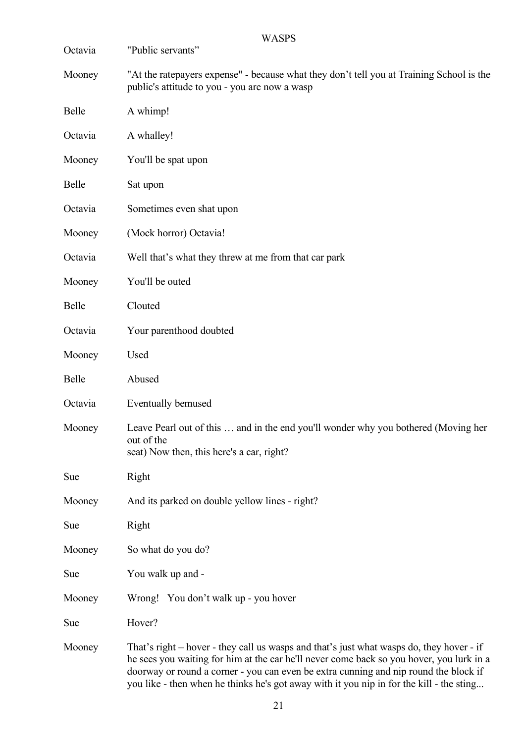| Octavia | <b>WASPS</b><br>"Public servants"                                                                                                                                                                                                                                                                                                                                        |
|---------|--------------------------------------------------------------------------------------------------------------------------------------------------------------------------------------------------------------------------------------------------------------------------------------------------------------------------------------------------------------------------|
| Mooney  | "At the ratepayers expense" - because what they don't tell you at Training School is the                                                                                                                                                                                                                                                                                 |
|         | public's attitude to you - you are now a wasp                                                                                                                                                                                                                                                                                                                            |
| Belle   | A whimp!                                                                                                                                                                                                                                                                                                                                                                 |
| Octavia | A whalley!                                                                                                                                                                                                                                                                                                                                                               |
| Mooney  | You'll be spat upon                                                                                                                                                                                                                                                                                                                                                      |
| Belle   | Sat upon                                                                                                                                                                                                                                                                                                                                                                 |
| Octavia | Sometimes even shat upon                                                                                                                                                                                                                                                                                                                                                 |
| Mooney  | (Mock horror) Octavia!                                                                                                                                                                                                                                                                                                                                                   |
| Octavia | Well that's what they threw at me from that car park                                                                                                                                                                                                                                                                                                                     |
| Mooney  | You'll be outed                                                                                                                                                                                                                                                                                                                                                          |
| Belle   | Clouted                                                                                                                                                                                                                                                                                                                                                                  |
| Octavia | Your parenthood doubted                                                                                                                                                                                                                                                                                                                                                  |
| Mooney  | Used                                                                                                                                                                                                                                                                                                                                                                     |
| Belle   | Abused                                                                                                                                                                                                                                                                                                                                                                   |
| Octavia | Eventually bemused                                                                                                                                                                                                                                                                                                                                                       |
| Mooney  | Leave Pearl out of this  and in the end you'll wonder why you bothered (Moving her<br>out of the<br>seat) Now then, this here's a car, right?                                                                                                                                                                                                                            |
| Sue     | Right                                                                                                                                                                                                                                                                                                                                                                    |
| Mooney  | And its parked on double yellow lines - right?                                                                                                                                                                                                                                                                                                                           |
| Sue     | Right                                                                                                                                                                                                                                                                                                                                                                    |
| Mooney  | So what do you do?                                                                                                                                                                                                                                                                                                                                                       |
| Sue     | You walk up and -                                                                                                                                                                                                                                                                                                                                                        |
| Mooney  | Wrong! You don't walk up - you hover                                                                                                                                                                                                                                                                                                                                     |
| Sue     | Hover?                                                                                                                                                                                                                                                                                                                                                                   |
| Mooney  | That's right – hover - they call us wasps and that's just what wasps do, they hover - if<br>he sees you waiting for him at the car he'll never come back so you hover, you lurk in a<br>doorway or round a corner - you can even be extra cunning and nip round the block if<br>you like - then when he thinks he's got away with it you nip in for the kill - the sting |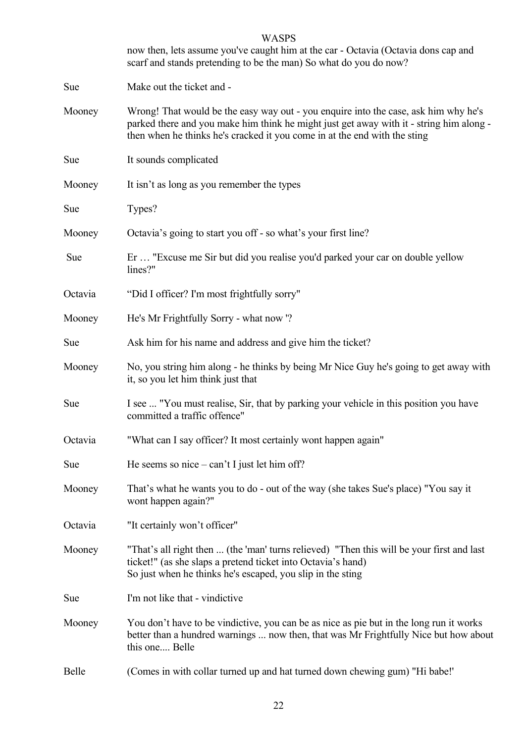|            | <b>WASPS</b><br>now then, lets assume you've caught him at the car - Octavia (Octavia dons cap and<br>scarf and stands pretending to be the man) So what do you do now?                                                                                     |
|------------|-------------------------------------------------------------------------------------------------------------------------------------------------------------------------------------------------------------------------------------------------------------|
| Sue        | Make out the ticket and -                                                                                                                                                                                                                                   |
| Mooney     | Wrong! That would be the easy way out - you enquire into the case, ask him why he's<br>parked there and you make him think he might just get away with it - string him along -<br>then when he thinks he's cracked it you come in at the end with the sting |
| <b>Sue</b> | It sounds complicated                                                                                                                                                                                                                                       |
| Mooney     | It isn't as long as you remember the types                                                                                                                                                                                                                  |
| Sue        | Types?                                                                                                                                                                                                                                                      |
| Mooney     | Octavia's going to start you off - so what's your first line?                                                                                                                                                                                               |
| Sue        | Er  "Excuse me Sir but did you realise you'd parked your car on double yellow<br>lines?"                                                                                                                                                                    |
| Octavia    | "Did I officer? I'm most frightfully sorry"                                                                                                                                                                                                                 |
| Mooney     | He's Mr Frightfully Sorry - what now '?                                                                                                                                                                                                                     |
| Sue        | Ask him for his name and address and give him the ticket?                                                                                                                                                                                                   |
| Mooney     | No, you string him along - he thinks by being Mr Nice Guy he's going to get away with<br>it, so you let him think just that                                                                                                                                 |
| Sue        | I see  "You must realise, Sir, that by parking your vehicle in this position you have<br>committed a traffic offence"                                                                                                                                       |
| Octavia    | "What can I say officer? It most certainly wont happen again"                                                                                                                                                                                               |
| Sue        | He seems so nice $-\text{ can't I just let him off?}$                                                                                                                                                                                                       |
| Mooney     | That's what he wants you to do - out of the way (she takes Sue's place) "You say it<br>wont happen again?"                                                                                                                                                  |
| Octavia    | "It certainly won't officer"                                                                                                                                                                                                                                |
| Mooney     | "That's all right then  (the 'man' turns relieved) "Then this will be your first and last<br>ticket!" (as she slaps a pretend ticket into Octavia's hand)<br>So just when he thinks he's escaped, you slip in the sting                                     |
| Sue        | I'm not like that - vindictive                                                                                                                                                                                                                              |
| Mooney     | You don't have to be vindictive, you can be as nice as pie but in the long run it works<br>better than a hundred warnings  now then, that was Mr Frightfully Nice but how about<br>this one Belle                                                           |
| Belle      | (Comes in with collar turned up and hat turned down chewing gum) "Hi babe!"                                                                                                                                                                                 |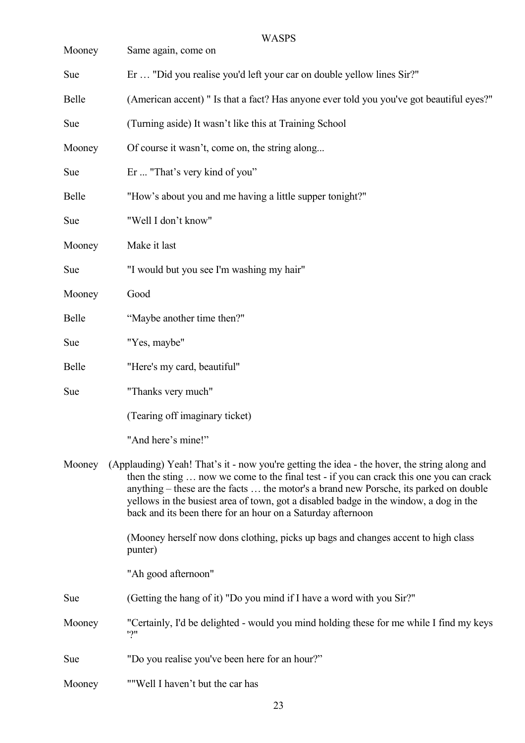| Mooney | <b>WASPS</b><br>Same again, come on                                                                                                                                                                                                                                                                                                                                                                                                      |
|--------|------------------------------------------------------------------------------------------------------------------------------------------------------------------------------------------------------------------------------------------------------------------------------------------------------------------------------------------------------------------------------------------------------------------------------------------|
| Sue    | Er  "Did you realise you'd left your car on double yellow lines Sir?"                                                                                                                                                                                                                                                                                                                                                                    |
| Belle  | (American accent) " Is that a fact? Has anyone ever told you you've got beautiful eyes?"                                                                                                                                                                                                                                                                                                                                                 |
| Sue    | (Turning aside) It wasn't like this at Training School                                                                                                                                                                                                                                                                                                                                                                                   |
| Mooney | Of course it wasn't, come on, the string along                                                                                                                                                                                                                                                                                                                                                                                           |
| Sue    | Er  "That's very kind of you"                                                                                                                                                                                                                                                                                                                                                                                                            |
| Belle  | "How's about you and me having a little supper tonight?"                                                                                                                                                                                                                                                                                                                                                                                 |
| Sue    | "Well I don't know"                                                                                                                                                                                                                                                                                                                                                                                                                      |
| Mooney | Make it last                                                                                                                                                                                                                                                                                                                                                                                                                             |
| Sue    | "I would but you see I'm washing my hair"                                                                                                                                                                                                                                                                                                                                                                                                |
| Mooney | Good                                                                                                                                                                                                                                                                                                                                                                                                                                     |
| Belle  | "Maybe another time then?"                                                                                                                                                                                                                                                                                                                                                                                                               |
| Sue    | "Yes, maybe"                                                                                                                                                                                                                                                                                                                                                                                                                             |
| Belle  | "Here's my card, beautiful"                                                                                                                                                                                                                                                                                                                                                                                                              |
| Sue    | "Thanks very much"                                                                                                                                                                                                                                                                                                                                                                                                                       |
|        | (Tearing off imaginary ticket)                                                                                                                                                                                                                                                                                                                                                                                                           |
|        | "And here's mine!"                                                                                                                                                                                                                                                                                                                                                                                                                       |
| Mooney | (Applauding) Yeah! That's it - now you're getting the idea - the hover, the string along and<br>then the sting  now we come to the final test - if you can crack this one you can crack<br>anything – these are the facts  the motor's a brand new Porsche, its parked on double<br>yellows in the busiest area of town, got a disabled badge in the window, a dog in the<br>back and its been there for an hour on a Saturday afternoon |
|        | (Mooney herself now dons clothing, picks up bags and changes accent to high class<br>punter)                                                                                                                                                                                                                                                                                                                                             |
|        | "Ah good afternoon"                                                                                                                                                                                                                                                                                                                                                                                                                      |
| Sue    | (Getting the hang of it) "Do you mind if I have a word with you Sir?"                                                                                                                                                                                                                                                                                                                                                                    |
| Mooney | "Certainly, I'd be delighted - would you mind holding these for me while I find my keys<br>"?"                                                                                                                                                                                                                                                                                                                                           |
| Sue    | "Do you realise you've been here for an hour?"                                                                                                                                                                                                                                                                                                                                                                                           |
| Mooney | ""Well I haven't but the car has                                                                                                                                                                                                                                                                                                                                                                                                         |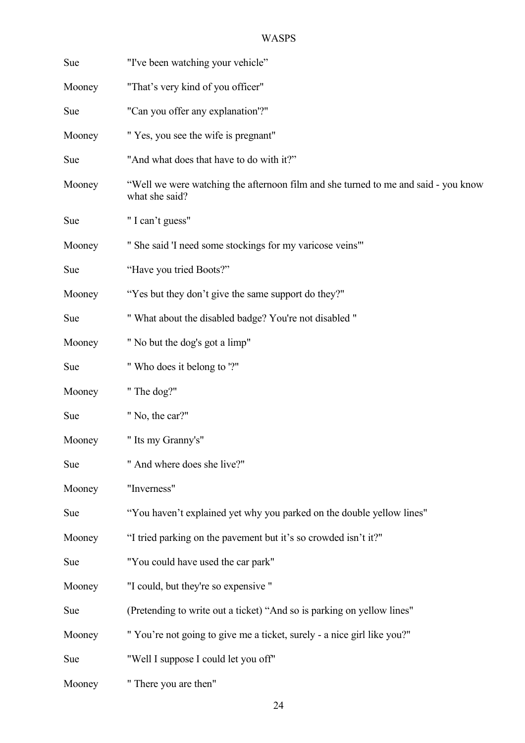| Sue    | "I've been watching your vehicle"                                                                    |
|--------|------------------------------------------------------------------------------------------------------|
| Mooney | "That's very kind of you officer"                                                                    |
| Sue    | "Can you offer any explanation"?"                                                                    |
| Mooney | " Yes, you see the wife is pregnant"                                                                 |
| Sue    | "And what does that have to do with it?"                                                             |
| Mooney | "Well we were watching the afternoon film and she turned to me and said - you know<br>what she said? |
| Sue    | "I can't guess"                                                                                      |
| Mooney | " She said 'I need some stockings for my varicose veins"                                             |
| Sue    | "Have you tried Boots?"                                                                              |
| Mooney | "Yes but they don't give the same support do they?"                                                  |
| Sue    | " What about the disabled badge? You're not disabled "                                               |
| Mooney | " No but the dog's got a limp"                                                                       |
| Sue    | " Who does it belong to "?"                                                                          |
| Mooney | "The dog?"                                                                                           |
| Sue    | " No, the car?"                                                                                      |
| Mooney | " Its my Granny's"                                                                                   |
| Sue    | " And where does she live?"                                                                          |
| Mooney | "Inverness"                                                                                          |
| Sue    | "You haven't explained yet why you parked on the double yellow lines"                                |
| Mooney | "I tried parking on the pavement but it's so crowded isn't it?"                                      |
| Sue    | "You could have used the car park"                                                                   |
| Mooney | "I could, but they're so expensive "                                                                 |
| Sue    | (Pretending to write out a ticket) "And so is parking on yellow lines"                               |
| Mooney | "You're not going to give me a ticket, surely - a nice girl like you?"                               |
| Sue    | "Well I suppose I could let you off"                                                                 |
| Mooney | " There you are then"                                                                                |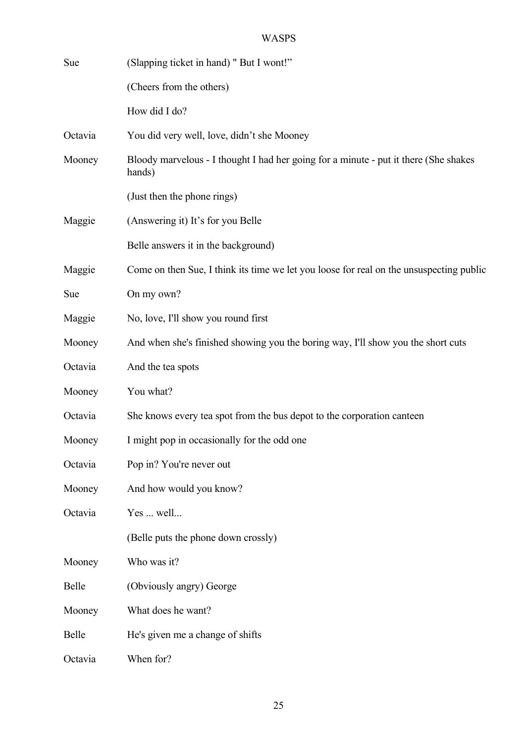| Sue     | (Slapping ticket in hand) " But I wont!"                                                       |
|---------|------------------------------------------------------------------------------------------------|
|         | (Cheers from the others)                                                                       |
|         | How did I do?                                                                                  |
| Octavia | You did very well, love, didn't she Mooney                                                     |
| Mooney  | Bloody marvelous - I thought I had her going for a minute - put it there (She shakes<br>hands) |
|         | (Just then the phone rings)                                                                    |
| Maggie  | (Answering it) It's for you Belle                                                              |
|         | Belle answers it in the background)                                                            |
| Maggie  | Come on then Sue, I think its time we let you loose for real on the unsuspecting public        |
| Sue     | On my own?                                                                                     |
| Maggie  | No, love, I'll show you round first                                                            |
| Mooney  | And when she's finished showing you the boring way, I'll show you the short cuts               |
| Octavia | And the tea spots                                                                              |
| Mooney  | You what?                                                                                      |
| Octavia | She knows every tea spot from the bus depot to the corporation canteen                         |
| Mooney  | I might pop in occasionally for the odd one                                                    |
| Octavia | Pop in? You're never out                                                                       |
| Mooney  | And how would you know?                                                                        |
| Octavia | Yes  well                                                                                      |
|         | (Belle puts the phone down crossly)                                                            |
| Mooney  | Who was it?                                                                                    |
| Belle   | (Obviously angry) George                                                                       |
| Mooney  | What does he want?                                                                             |
| Belle   | He's given me a change of shifts                                                               |
| Octavia | When for?                                                                                      |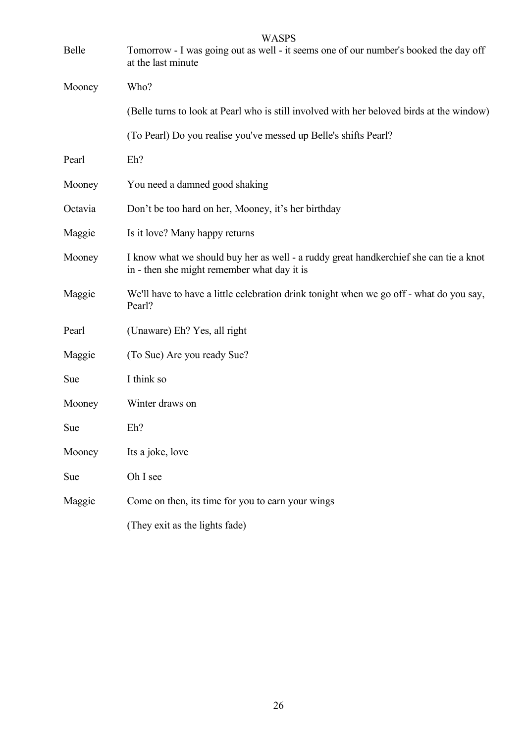| Belle   | <b>WASPS</b><br>Tomorrow - I was going out as well - it seems one of our number's booked the day off<br>at the last minute           |
|---------|--------------------------------------------------------------------------------------------------------------------------------------|
| Mooney  | Who?                                                                                                                                 |
|         | (Belle turns to look at Pearl who is still involved with her beloved birds at the window)                                            |
|         | (To Pearl) Do you realise you've messed up Belle's shifts Pearl?                                                                     |
| Pearl   | $Eh$ ?                                                                                                                               |
| Mooney  | You need a damned good shaking                                                                                                       |
| Octavia | Don't be too hard on her, Mooney, it's her birthday                                                                                  |
| Maggie  | Is it love? Many happy returns                                                                                                       |
| Mooney  | I know what we should buy her as well - a ruddy great handkerchief she can tie a knot<br>in - then she might remember what day it is |
| Maggie  | We'll have to have a little celebration drink tonight when we go off - what do you say,<br>Pearl?                                    |
| Pearl   | (Unaware) Eh? Yes, all right                                                                                                         |
| Maggie  | (To Sue) Are you ready Sue?                                                                                                          |
| Sue     | I think so                                                                                                                           |
| Mooney  | Winter draws on                                                                                                                      |
| Sue     | Eh?                                                                                                                                  |
| Mooney  | Its a joke, love                                                                                                                     |
| Sue     | Oh I see                                                                                                                             |
| Maggie  | Come on then, its time for you to earn your wings                                                                                    |
|         | (They exit as the lights fade)                                                                                                       |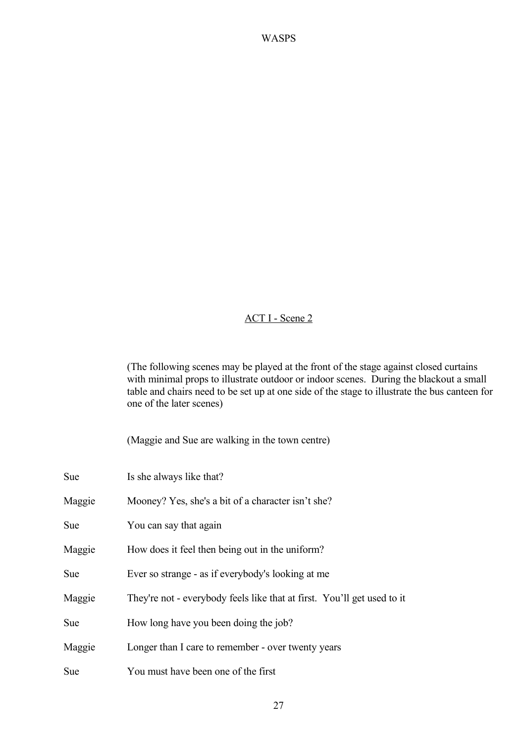#### ACT I - Scene 2

(The following scenes may be played at the front of the stage against closed curtains with minimal props to illustrate outdoor or indoor scenes. During the blackout a small table and chairs need to be set up at one side of the stage to illustrate the bus canteen for one of the later scenes)

(Maggie and Sue are walking in the town centre)

| Sue    | Is she always like that?                                                |
|--------|-------------------------------------------------------------------------|
| Maggie | Mooney? Yes, she's a bit of a character isn't she?                      |
| Sue    | You can say that again                                                  |
| Maggie | How does it feel then being out in the uniform?                         |
| Sue    | Ever so strange - as if everybody's looking at me                       |
| Maggie | They're not - everybody feels like that at first. You'll get used to it |
| Sue    | How long have you been doing the job?                                   |
| Maggie | Longer than I care to remember - over twenty years                      |
| Sue    | You must have been one of the first                                     |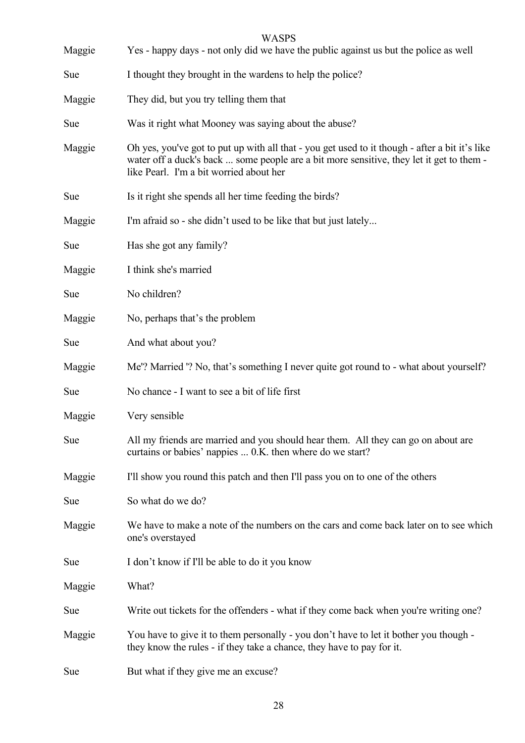| Maggie     | Yes - happy days - not only did we have the public against us but the police as well                                                                                                                                                  |
|------------|---------------------------------------------------------------------------------------------------------------------------------------------------------------------------------------------------------------------------------------|
| <b>Sue</b> | I thought they brought in the wardens to help the police?                                                                                                                                                                             |
| Maggie     | They did, but you try telling them that                                                                                                                                                                                               |
| Sue        | Was it right what Mooney was saying about the abuse?                                                                                                                                                                                  |
| Maggie     | Oh yes, you've got to put up with all that - you get used to it though - after a bit it's like<br>water off a duck's back  some people are a bit more sensitive, they let it get to them -<br>like Pearl. I'm a bit worried about her |
| Sue        | Is it right she spends all her time feeding the birds?                                                                                                                                                                                |
| Maggie     | I'm afraid so - she didn't used to be like that but just lately                                                                                                                                                                       |
| Sue        | Has she got any family?                                                                                                                                                                                                               |
| Maggie     | I think she's married                                                                                                                                                                                                                 |
| Sue        | No children?                                                                                                                                                                                                                          |
| Maggie     | No, perhaps that's the problem                                                                                                                                                                                                        |
| <b>Sue</b> | And what about you?                                                                                                                                                                                                                   |
| Maggie     | Me'? Married '? No, that's something I never quite got round to - what about yourself?                                                                                                                                                |
| <b>Sue</b> | No chance - I want to see a bit of life first                                                                                                                                                                                         |
| Maggie     | Very sensible                                                                                                                                                                                                                         |
| Sue        | All my friends are married and you should hear them. All they can go on about are<br>curtains or babies' nappies  0.K. then where do we start?                                                                                        |
| Maggie     | I'll show you round this patch and then I'll pass you on to one of the others                                                                                                                                                         |
| Sue        | So what do we do?                                                                                                                                                                                                                     |
| Maggie     | We have to make a note of the numbers on the cars and come back later on to see which<br>one's overstayed                                                                                                                             |
| Sue        | I don't know if I'll be able to do it you know                                                                                                                                                                                        |
| Maggie     | What?                                                                                                                                                                                                                                 |
| Sue        | Write out tickets for the offenders - what if they come back when you're writing one?                                                                                                                                                 |
| Maggie     | You have to give it to them personally - you don't have to let it bother you though -<br>they know the rules - if they take a chance, they have to pay for it.                                                                        |
| <b>Sue</b> | But what if they give me an excuse?                                                                                                                                                                                                   |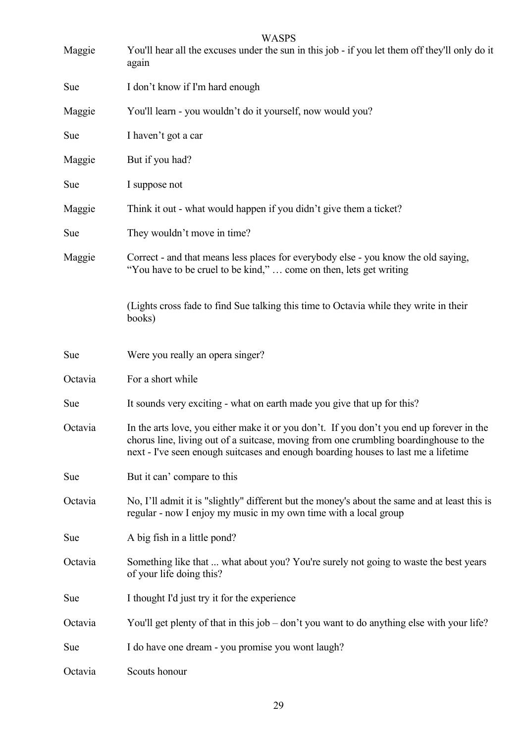| Maggie     | <b>WASPS</b><br>You'll hear all the excuses under the sun in this job - if you let them off they'll only do it<br>again                                                                                                                                                  |
|------------|--------------------------------------------------------------------------------------------------------------------------------------------------------------------------------------------------------------------------------------------------------------------------|
| <b>Sue</b> | I don't know if I'm hard enough                                                                                                                                                                                                                                          |
| Maggie     | You'll learn - you wouldn't do it yourself, now would you?                                                                                                                                                                                                               |
| <b>Sue</b> | I haven't got a car                                                                                                                                                                                                                                                      |
| Maggie     | But if you had?                                                                                                                                                                                                                                                          |
| <b>Sue</b> | I suppose not                                                                                                                                                                                                                                                            |
| Maggie     | Think it out - what would happen if you didn't give them a ticket?                                                                                                                                                                                                       |
| <b>Sue</b> | They wouldn't move in time?                                                                                                                                                                                                                                              |
| Maggie     | Correct - and that means less places for everybody else - you know the old saying,<br>"You have to be cruel to be kind,"  come on then, lets get writing                                                                                                                 |
|            | (Lights cross fade to find Sue talking this time to Octavia while they write in their<br>books)                                                                                                                                                                          |
| <b>Sue</b> | Were you really an opera singer?                                                                                                                                                                                                                                         |
| Octavia    | For a short while                                                                                                                                                                                                                                                        |
| <b>Sue</b> | It sounds very exciting - what on earth made you give that up for this?                                                                                                                                                                                                  |
| Octavia    | In the arts love, you either make it or you don't. If you don't you end up forever in the<br>chorus line, living out of a suitcase, moving from one crumbling boardinghouse to the<br>next - I've seen enough suitcases and enough boarding houses to last me a lifetime |
| <b>Sue</b> | But it can' compare to this                                                                                                                                                                                                                                              |
| Octavia    | No, I'll admit it is "slightly" different but the money's about the same and at least this is<br>regular - now I enjoy my music in my own time with a local group                                                                                                        |
| Sue        | A big fish in a little pond?                                                                                                                                                                                                                                             |
| Octavia    | Something like that  what about you? You're surely not going to waste the best years<br>of your life doing this?                                                                                                                                                         |
| Sue        | I thought I'd just try it for the experience                                                                                                                                                                                                                             |
| Octavia    | You'll get plenty of that in this job – don't you want to do anything else with your life?                                                                                                                                                                               |
| Sue        | I do have one dream - you promise you wont laugh?                                                                                                                                                                                                                        |
| Octavia    | Scouts honour                                                                                                                                                                                                                                                            |

29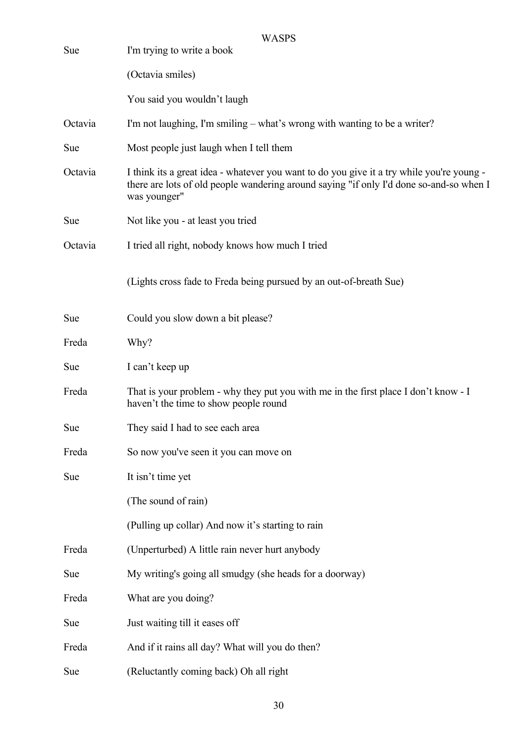| Sue     | <b>WASPS</b><br>I'm trying to write a book                                                                                                                                                           |
|---------|------------------------------------------------------------------------------------------------------------------------------------------------------------------------------------------------------|
|         | (Octavia smiles)                                                                                                                                                                                     |
|         | You said you wouldn't laugh                                                                                                                                                                          |
| Octavia | I'm not laughing, I'm smiling – what's wrong with wanting to be a writer?                                                                                                                            |
| Sue     | Most people just laugh when I tell them                                                                                                                                                              |
| Octavia | I think its a great idea - whatever you want to do you give it a try while you're young -<br>there are lots of old people wandering around saying "if only I'd done so-and-so when I<br>was younger" |
| Sue     | Not like you - at least you tried                                                                                                                                                                    |
| Octavia | I tried all right, nobody knows how much I tried                                                                                                                                                     |
|         | (Lights cross fade to Freda being pursued by an out-of-breath Sue)                                                                                                                                   |
| Sue     | Could you slow down a bit please?                                                                                                                                                                    |
| Freda   | Why?                                                                                                                                                                                                 |
| Sue     | I can't keep up                                                                                                                                                                                      |
| Freda   | That is your problem - why they put you with me in the first place I don't know - I<br>haven't the time to show people round                                                                         |
| Sue     | They said I had to see each area                                                                                                                                                                     |
| Freda   | So now you've seen it you can move on                                                                                                                                                                |
| Sue     | It isn't time yet                                                                                                                                                                                    |
|         | (The sound of rain)                                                                                                                                                                                  |
|         | (Pulling up collar) And now it's starting to rain                                                                                                                                                    |
| Freda   | (Unperturbed) A little rain never hurt anybody                                                                                                                                                       |
| Sue     | My writing's going all smudgy (she heads for a doorway)                                                                                                                                              |
| Freda   | What are you doing?                                                                                                                                                                                  |
| Sue     | Just waiting till it eases off                                                                                                                                                                       |
| Freda   | And if it rains all day? What will you do then?                                                                                                                                                      |
| Sue     | (Reluctantly coming back) Oh all right                                                                                                                                                               |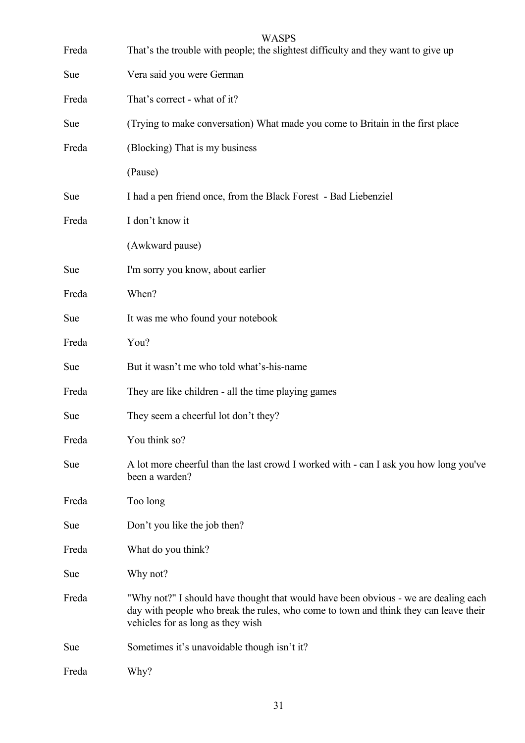| Freda      | <b>WASPS</b><br>That's the trouble with people; the slightest difficulty and they want to give up                                                                                                                |
|------------|------------------------------------------------------------------------------------------------------------------------------------------------------------------------------------------------------------------|
| <b>Sue</b> | Vera said you were German                                                                                                                                                                                        |
| Freda      | That's correct - what of it?                                                                                                                                                                                     |
| <b>Sue</b> | (Trying to make conversation) What made you come to Britain in the first place                                                                                                                                   |
| Freda      | (Blocking) That is my business                                                                                                                                                                                   |
|            | (Pause)                                                                                                                                                                                                          |
| <b>Sue</b> | I had a pen friend once, from the Black Forest - Bad Liebenziel                                                                                                                                                  |
| Freda      | I don't know it                                                                                                                                                                                                  |
|            | (Awkward pause)                                                                                                                                                                                                  |
| <b>Sue</b> | I'm sorry you know, about earlier                                                                                                                                                                                |
| Freda      | When?                                                                                                                                                                                                            |
| <b>Sue</b> | It was me who found your notebook                                                                                                                                                                                |
| Freda      | You?                                                                                                                                                                                                             |
| Sue        | But it wasn't me who told what's-his-name                                                                                                                                                                        |
| Freda      | They are like children - all the time playing games                                                                                                                                                              |
| Sue        | They seem a cheerful lot don't they?                                                                                                                                                                             |
| Freda      | You think so?                                                                                                                                                                                                    |
| <b>Sue</b> | A lot more cheerful than the last crowd I worked with - can I ask you how long you've<br>been a warden?                                                                                                          |
| Freda      | Too long                                                                                                                                                                                                         |
| Sue        | Don't you like the job then?                                                                                                                                                                                     |
| Freda      | What do you think?                                                                                                                                                                                               |
| Sue        | Why not?                                                                                                                                                                                                         |
| Freda      | "Why not?" I should have thought that would have been obvious - we are dealing each<br>day with people who break the rules, who come to town and think they can leave their<br>vehicles for as long as they wish |
| Sue        | Sometimes it's unavoidable though isn't it?                                                                                                                                                                      |
| Freda      | Why?                                                                                                                                                                                                             |

31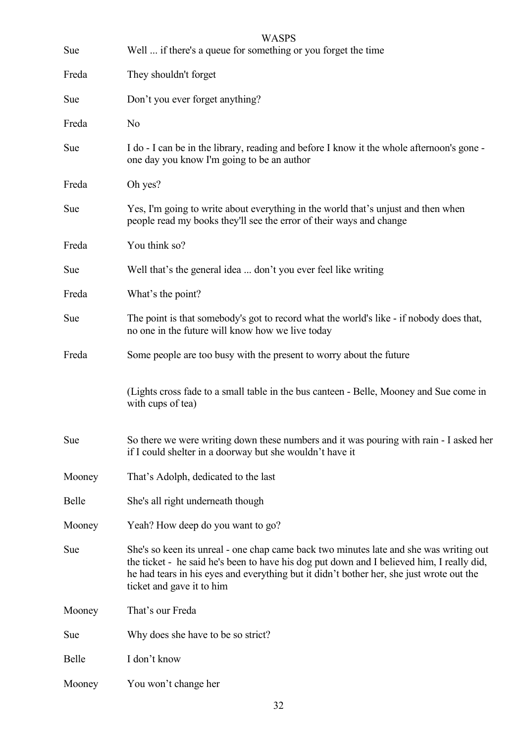| Sue    | <b>WASPS</b><br>Well  if there's a queue for something or you forget the time                                                                                                                                                                                                                                |
|--------|--------------------------------------------------------------------------------------------------------------------------------------------------------------------------------------------------------------------------------------------------------------------------------------------------------------|
| Freda  | They shouldn't forget                                                                                                                                                                                                                                                                                        |
| Sue    | Don't you ever forget anything?                                                                                                                                                                                                                                                                              |
| Freda  | N <sub>0</sub>                                                                                                                                                                                                                                                                                               |
| Sue    | I do - I can be in the library, reading and before I know it the whole afternoon's gone -<br>one day you know I'm going to be an author                                                                                                                                                                      |
| Freda  | Oh yes?                                                                                                                                                                                                                                                                                                      |
| Sue    | Yes, I'm going to write about everything in the world that's unjust and then when<br>people read my books they'll see the error of their ways and change                                                                                                                                                     |
| Freda  | You think so?                                                                                                                                                                                                                                                                                                |
| Sue    | Well that's the general idea  don't you ever feel like writing                                                                                                                                                                                                                                               |
| Freda  | What's the point?                                                                                                                                                                                                                                                                                            |
| Sue    | The point is that somebody's got to record what the world's like - if nobody does that,<br>no one in the future will know how we live today                                                                                                                                                                  |
| Freda  | Some people are too busy with the present to worry about the future                                                                                                                                                                                                                                          |
|        | (Lights cross fade to a small table in the bus canteen - Belle, Mooney and Sue come in<br>with cups of tea)                                                                                                                                                                                                  |
| Sue    | So there we were writing down these numbers and it was pouring with rain - I asked her<br>if I could shelter in a doorway but she wouldn't have it                                                                                                                                                           |
| Mooney | That's Adolph, dedicated to the last                                                                                                                                                                                                                                                                         |
| Belle  | She's all right underneath though                                                                                                                                                                                                                                                                            |
| Mooney | Yeah? How deep do you want to go?                                                                                                                                                                                                                                                                            |
| Sue    | She's so keen its unreal - one chap came back two minutes late and she was writing out<br>the ticket - he said he's been to have his dog put down and I believed him, I really did,<br>he had tears in his eyes and everything but it didn't bother her, she just wrote out the<br>ticket and gave it to him |
| Mooney | That's our Freda                                                                                                                                                                                                                                                                                             |
| Sue    | Why does she have to be so strict?                                                                                                                                                                                                                                                                           |
| Belle  | I don't know                                                                                                                                                                                                                                                                                                 |
| Mooney | You won't change her                                                                                                                                                                                                                                                                                         |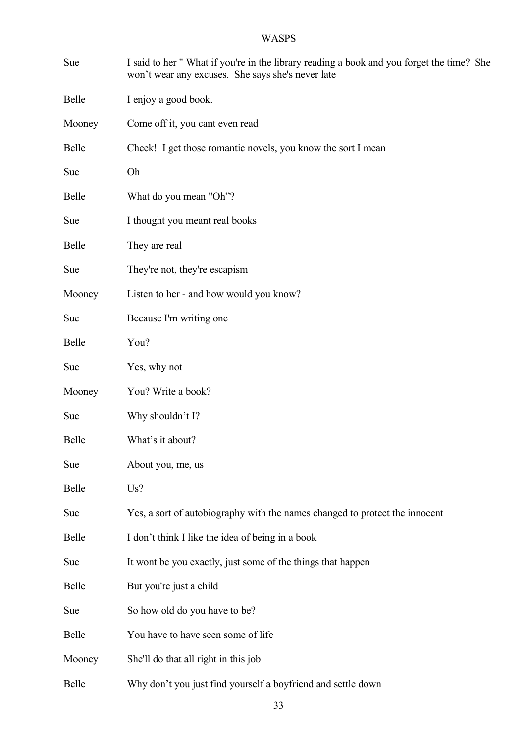| Sue        | I said to her "What if you're in the library reading a book and you forget the time? She<br>won't wear any excuses. She says she's never late |
|------------|-----------------------------------------------------------------------------------------------------------------------------------------------|
| Belle      | I enjoy a good book.                                                                                                                          |
| Mooney     | Come off it, you cant even read                                                                                                               |
| Belle      | Cheek! I get those romantic novels, you know the sort I mean                                                                                  |
| Sue        | Oh                                                                                                                                            |
| Belle      | What do you mean "Oh"?                                                                                                                        |
| <b>Sue</b> | I thought you meant real books                                                                                                                |
| Belle      | They are real                                                                                                                                 |
| Sue        | They're not, they're escapism                                                                                                                 |
| Mooney     | Listen to her - and how would you know?                                                                                                       |
| Sue        | Because I'm writing one                                                                                                                       |
| Belle      | You?                                                                                                                                          |
| <b>Sue</b> | Yes, why not                                                                                                                                  |
| Mooney     | You? Write a book?                                                                                                                            |
| Sue        | Why shouldn't I?                                                                                                                              |
| Belle      | What's it about?                                                                                                                              |
| Sue        | About you, me, us                                                                                                                             |
| Belle      | Us?                                                                                                                                           |
| Sue        | Yes, a sort of autobiography with the names changed to protect the innocent                                                                   |
| Belle      | I don't think I like the idea of being in a book                                                                                              |
| Sue        | It wont be you exactly, just some of the things that happen                                                                                   |
| Belle      | But you're just a child                                                                                                                       |
| Sue        | So how old do you have to be?                                                                                                                 |
| Belle      | You have to have seen some of life                                                                                                            |
| Mooney     | She'll do that all right in this job                                                                                                          |
| Belle      | Why don't you just find yourself a boyfriend and settle down                                                                                  |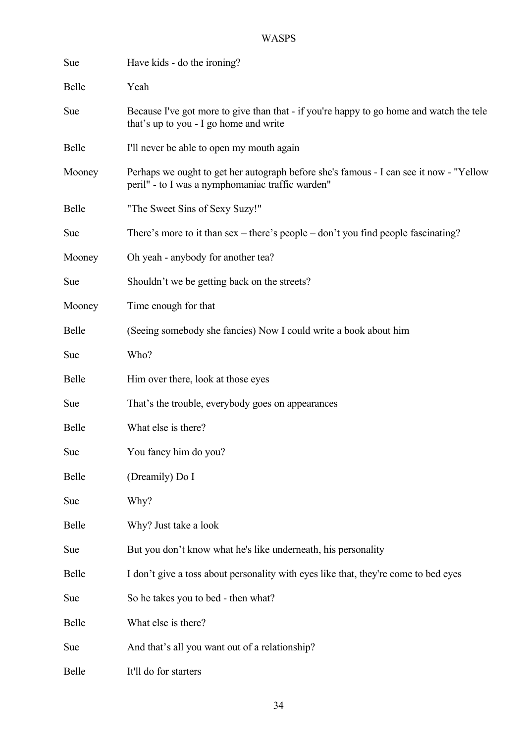| Sue          | Have kids - do the ironing?                                                                                                                |
|--------------|--------------------------------------------------------------------------------------------------------------------------------------------|
| Belle        | Yeah                                                                                                                                       |
| Sue          | Because I've got more to give than that - if you're happy to go home and watch the tele<br>that's up to you - I go home and write          |
| <b>Belle</b> | I'll never be able to open my mouth again                                                                                                  |
| Mooney       | Perhaps we ought to get her autograph before she's famous - I can see it now - "Yellow<br>peril" - to I was a nymphomaniac traffic warden" |
| <b>Belle</b> | "The Sweet Sins of Sexy Suzy!"                                                                                                             |
| Sue          | There's more to it than $sex$ – there's people – don't you find people fascinating?                                                        |
| Mooney       | Oh yeah - anybody for another tea?                                                                                                         |
| Sue          | Shouldn't we be getting back on the streets?                                                                                               |
| Mooney       | Time enough for that                                                                                                                       |
| Belle        | (Seeing somebody she fancies) Now I could write a book about him                                                                           |
| Sue          | Who?                                                                                                                                       |
| Belle        | Him over there, look at those eyes                                                                                                         |
| Sue          | That's the trouble, everybody goes on appearances                                                                                          |
| <b>Belle</b> | What else is there?                                                                                                                        |
| Sue          | You fancy him do you?                                                                                                                      |
| Belle        | (Dreamily) Do I                                                                                                                            |
| Sue          | Why?                                                                                                                                       |
| Belle        | Why? Just take a look                                                                                                                      |
| Sue          | But you don't know what he's like underneath, his personality                                                                              |
| Belle        | I don't give a toss about personality with eyes like that, they're come to bed eyes                                                        |
| Sue          | So he takes you to bed - then what?                                                                                                        |
| Belle        | What else is there?                                                                                                                        |
| Sue          | And that's all you want out of a relationship?                                                                                             |
| Belle        | It'll do for starters                                                                                                                      |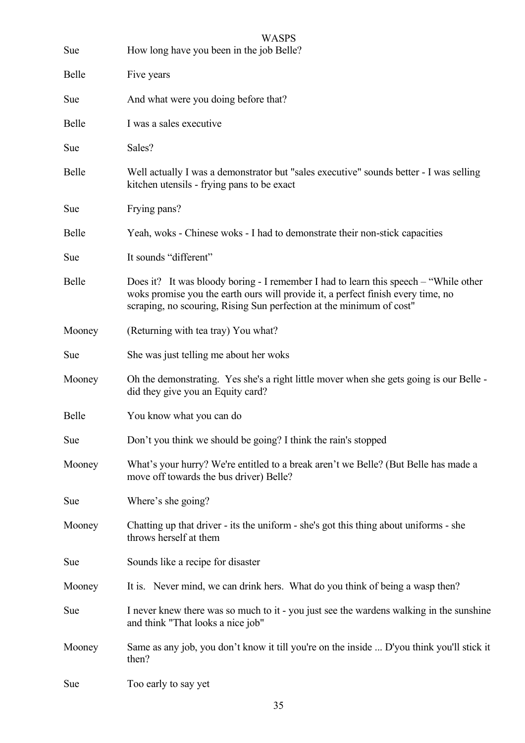| Sue          | <b>WASPS</b><br>How long have you been in the job Belle?                                                                                                                                                                                         |
|--------------|--------------------------------------------------------------------------------------------------------------------------------------------------------------------------------------------------------------------------------------------------|
| Belle        | Five years                                                                                                                                                                                                                                       |
| Sue          | And what were you doing before that?                                                                                                                                                                                                             |
| <b>Belle</b> | I was a sales executive                                                                                                                                                                                                                          |
| Sue          | Sales?                                                                                                                                                                                                                                           |
| <b>Belle</b> | Well actually I was a demonstrator but "sales executive" sounds better - I was selling<br>kitchen utensils - frying pans to be exact                                                                                                             |
| Sue          | Frying pans?                                                                                                                                                                                                                                     |
| Belle        | Yeah, woks - Chinese woks - I had to demonstrate their non-stick capacities                                                                                                                                                                      |
| Sue          | It sounds "different"                                                                                                                                                                                                                            |
| Belle        | Does it? It was bloody boring - I remember I had to learn this speech – "While other<br>woks promise you the earth ours will provide it, a perfect finish every time, no<br>scraping, no scouring, Rising Sun perfection at the minimum of cost" |
| Mooney       | (Returning with tea tray) You what?                                                                                                                                                                                                              |
| Sue          | She was just telling me about her woks                                                                                                                                                                                                           |
| Mooney       | Oh the demonstrating. Yes she's a right little mover when she gets going is our Belle -<br>did they give you an Equity card?                                                                                                                     |
| Belle        | You know what you can do                                                                                                                                                                                                                         |
| Sue          | Don't you think we should be going? I think the rain's stopped                                                                                                                                                                                   |
| Mooney       | What's your hurry? We're entitled to a break aren't we Belle? (But Belle has made a<br>move off towards the bus driver) Belle?                                                                                                                   |
| Sue          | Where's she going?                                                                                                                                                                                                                               |
| Mooney       | Chatting up that driver - its the uniform - she's got this thing about uniforms - she<br>throws herself at them                                                                                                                                  |
| Sue          | Sounds like a recipe for disaster                                                                                                                                                                                                                |
| Mooney       | It is. Never mind, we can drink hers. What do you think of being a wasp then?                                                                                                                                                                    |
| Sue          | I never knew there was so much to it - you just see the wardens walking in the sunshine<br>and think "That looks a nice job"                                                                                                                     |
| Mooney       | Same as any job, you don't know it till you're on the inside  D'you think you'll stick it<br>then?                                                                                                                                               |
| Sue          | Too early to say yet                                                                                                                                                                                                                             |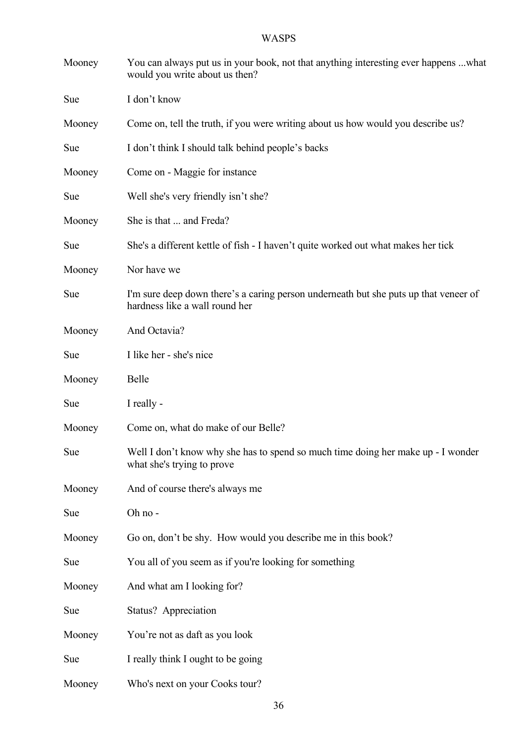| Mooney | You can always put us in your book, not that anything interesting ever happens what<br>would you write about us then?  |
|--------|------------------------------------------------------------------------------------------------------------------------|
| Sue    | I don't know                                                                                                           |
| Mooney | Come on, tell the truth, if you were writing about us how would you describe us?                                       |
| Sue    | I don't think I should talk behind people's backs                                                                      |
| Mooney | Come on - Maggie for instance                                                                                          |
| Sue    | Well she's very friendly isn't she?                                                                                    |
| Mooney | She is that  and Freda?                                                                                                |
| Sue    | She's a different kettle of fish - I haven't quite worked out what makes her tick                                      |
| Mooney | Nor have we                                                                                                            |
| Sue    | I'm sure deep down there's a caring person underneath but she puts up that veneer of<br>hardness like a wall round her |
| Mooney | And Octavia?                                                                                                           |
| Sue    | I like her - she's nice                                                                                                |
| Mooney | <b>Belle</b>                                                                                                           |
| Sue    | I really -                                                                                                             |
| Mooney | Come on, what do make of our Belle?                                                                                    |
| Sue    | Well I don't know why she has to spend so much time doing her make up - I wonder<br>what she's trying to prove         |
| Mooney | And of course there's always me                                                                                        |
| Sue    | Oh no-                                                                                                                 |
| Mooney | Go on, don't be shy. How would you describe me in this book?                                                           |
| Sue    | You all of you seem as if you're looking for something                                                                 |
| Mooney | And what am I looking for?                                                                                             |
| Sue    | Status? Appreciation                                                                                                   |
| Mooney | You're not as daft as you look                                                                                         |
| Sue    | I really think I ought to be going                                                                                     |
| Mooney | Who's next on your Cooks tour?                                                                                         |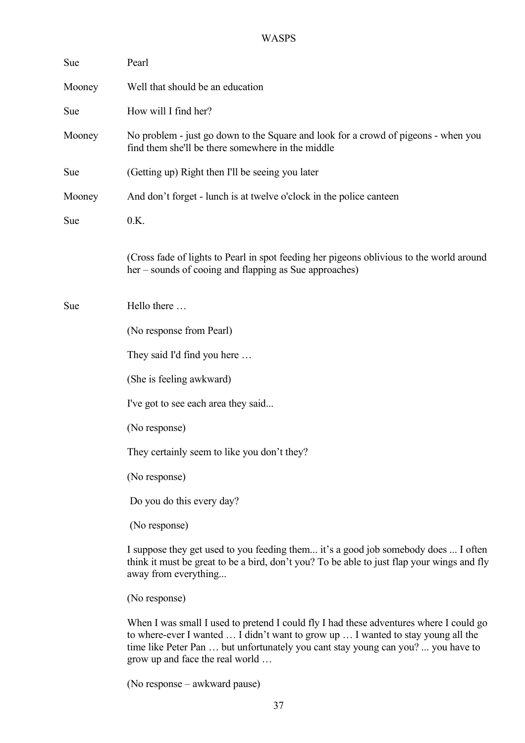| Sue    | Pearl                                                                                                                                                                                                                                                                                             |
|--------|---------------------------------------------------------------------------------------------------------------------------------------------------------------------------------------------------------------------------------------------------------------------------------------------------|
| Mooney | Well that should be an education                                                                                                                                                                                                                                                                  |
| Sue    | How will I find her?                                                                                                                                                                                                                                                                              |
| Mooney | No problem - just go down to the Square and look for a crowd of pigeons - when you<br>find them she'll be there somewhere in the middle                                                                                                                                                           |
| Sue    | (Getting up) Right then I'll be seeing you later                                                                                                                                                                                                                                                  |
| Mooney | And don't forget - lunch is at twelve o'clock in the police canteen                                                                                                                                                                                                                               |
| Sue    | 0.K.                                                                                                                                                                                                                                                                                              |
|        | (Cross fade of lights to Pearl in spot feeding her pigeons oblivious to the world around<br>her – sounds of cooing and flapping as Sue approaches)                                                                                                                                                |
| Sue    | Hello there                                                                                                                                                                                                                                                                                       |
|        | (No response from Pearl)                                                                                                                                                                                                                                                                          |
|        | They said I'd find you here                                                                                                                                                                                                                                                                       |
|        | (She is feeling awkward)                                                                                                                                                                                                                                                                          |
|        | I've got to see each area they said                                                                                                                                                                                                                                                               |
|        | (No response)                                                                                                                                                                                                                                                                                     |
|        | They certainly seem to like you don't they?                                                                                                                                                                                                                                                       |
|        | (No response)                                                                                                                                                                                                                                                                                     |
|        | Do you do this every day?                                                                                                                                                                                                                                                                         |
|        | (No response)                                                                                                                                                                                                                                                                                     |
|        | I suppose they get used to you feeding them it's a good job somebody does  I often<br>think it must be great to be a bird, don't you? To be able to just flap your wings and fly<br>away from everything                                                                                          |
|        | (No response)                                                                                                                                                                                                                                                                                     |
|        | When I was small I used to pretend I could fly I had these adventures where I could go<br>to where-ever I wanted  I didn't want to grow up  I wanted to stay young all the<br>time like Peter Pan  but unfortunately you cant stay young can you?  you have to<br>grow up and face the real world |

(No response – awkward pause)